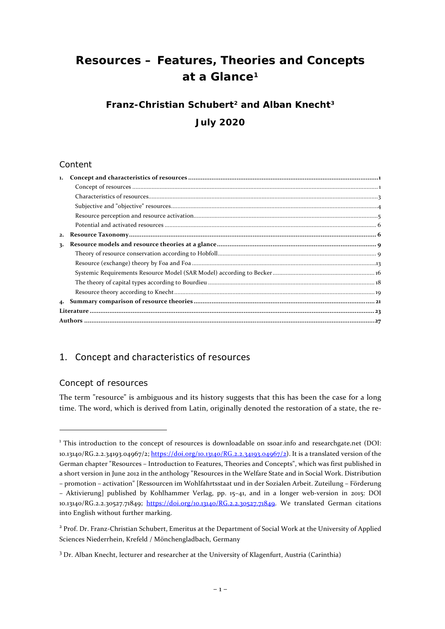# **Resources – Features, Theories and Concepts at a Glance[1](#page-0-2)**

# **Franz-Christian Schubert[2](#page-0-3) and Alban Knecht[3](#page-0-4) July 2020**

## Content

| 1. |  |  |  |
|----|--|--|--|
|    |  |  |  |
|    |  |  |  |
|    |  |  |  |
|    |  |  |  |
|    |  |  |  |
|    |  |  |  |
| 3. |  |  |  |
|    |  |  |  |
|    |  |  |  |
|    |  |  |  |
|    |  |  |  |
|    |  |  |  |
| 4. |  |  |  |
|    |  |  |  |
|    |  |  |  |

# <span id="page-0-0"></span>1. Concept and characteristics of resources

## <span id="page-0-1"></span>Concept of resources

l

The term "resource" is ambiguous and its history suggests that this has been the case for a long time. The word, which is derived from Latin, originally denoted the restoration of a state, the re-

<span id="page-0-2"></span><sup>&</sup>lt;sup>1</sup> This introduction to the concept of resources is downloadable on ssoar.info and researchgate.net (DOI: 10.13140/RG.2.2.34193.04967/2; [https://doi.org/10.13140/RG.2.2.34193.04967/2\)](https://doi.org/10.13140/RG.2.2.34193.04967/2). It is a translated version of the German chapter "Resources – Introduction to Features, Theories and Concepts", which was first published in a short version in June 2012 in the anthology "Resources in the Welfare State and in Social Work. Distribution – promotion – activation" [Ressourcen im Wohlfahrtsstaat und in der Sozialen Arbeit. Zuteilung – Förderung

<sup>–</sup> Aktivierung] published by Kohlhammer Verlag, pp. 15–41, and in a longer web-version in 2015: DOI 10.13140/RG.2.2.30527.71849; [https://doi.org/10.13140/RG.2.2.30527.71849.](https://doi.org/10.13140/RG.2.2.30527.71849) We translated German citations into English without further marking.

<span id="page-0-3"></span><sup>2</sup> Prof. Dr. Franz-Christian Schubert, Emeritus at the Department of Social Work at the University of Applied Sciences Niederrhein, Krefeld / Mönchengladbach, Germany

<span id="page-0-4"></span><sup>3</sup> Dr. Alban Knecht, lecturer and researcher at the University of Klagenfurt, Austria (Carinthia)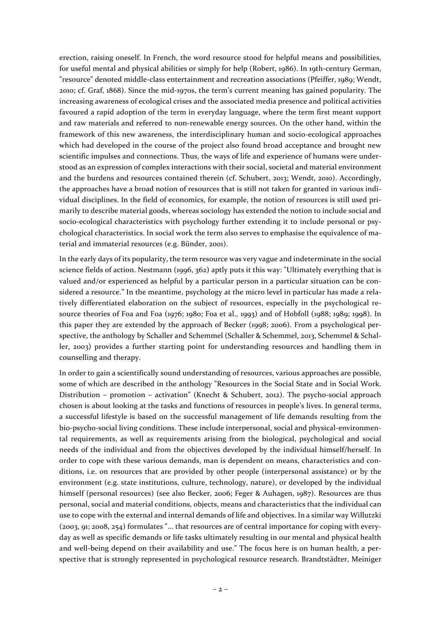erection, raising oneself. In French, the word resource stood for helpful means and possibilities, for useful mental and physical abilities or simply for help (Robert, 1986). In 19th-century German, "resource" denoted middle-class entertainment and recreation associations (Pfeiffer, 1989; Wendt, 2010; cf. Graf, 1868). Since the mid-1970s, the term's current meaning has gained popularity. The increasing awareness of ecological crises and the associated media presence and political activities favoured a rapid adoption of the term in everyday language, where the term first meant support and raw materials and referred to non-renewable energy sources. On the other hand, within the framework of this new awareness, the interdisciplinary human and socio-ecological approaches which had developed in the course of the project also found broad acceptance and brought new scientific impulses and connections. Thus, the ways of life and experience of humans were understood as an expression of complex interactions with their social, societal and material environment and the burdens and resources contained therein (cf. Schubert, 2013; Wendt, 2010). Accordingly, the approaches have a broad notion of resources that is still not taken for granted in various individual disciplines. In the field of economics, for example, the notion of resources is still used primarily to describe material goods, whereas sociology has extended the notion to include social and socio-ecological characteristics with psychology further extending it to include personal or psychological characteristics. In social work the term also serves to emphasise the equivalence of material and immaterial resources (e.g. Bünder, 2001).

In the early days of its popularity, the term resource was very vague and indeterminate in the social science fields of action. Nestmann (1996, 362) aptly puts it this way: "Ultimately everything that is valued and/or experienced as helpful by a particular person in a particular situation can be considered a resource." In the meantime, psychology at the micro level in particular has made a relatively differentiated elaboration on the subject of resources, especially in the psychological resource theories of Foa and Foa (1976; 1980; Foa et al., 1993) and of Hobfoll (1988; 1989; 1998). In this paper they are extended by the approach of Becker (1998; 2006). From a psychological perspective, the anthology by Schaller and Schemmel (Schaller & Schemmel, 2013, Schemmel & Schaller, 2003) provides a further starting point for understanding resources and handling them in counselling and therapy.

In order to gain a scientifically sound understanding of resources, various approaches are possible, some of which are described in the anthology "Resources in the Social State and in Social Work. Distribution – promotion – activation" (Knecht & Schubert, 2012). The psycho-social approach chosen is about looking at the tasks and functions of resources in people's lives. In general terms, a successful lifestyle is based on the successful management of life demands resulting from the bio-psycho-social living conditions. These include interpersonal, social and physical-environmental requirements, as well as requirements arising from the biological, psychological and social needs of the individual and from the objectives developed by the individual himself/herself. In order to cope with these various demands, man is dependent on means, characteristics and conditions, i.e. on resources that are provided by other people (interpersonal assistance) or by the environment (e.g. state institutions, culture, technology, nature), or developed by the individual himself (personal resources) (see also Becker, 2006; Feger & Auhagen, 1987). Resources are thus personal, social and material conditions, objects, means and characteristics that the individual can use to cope with the external and internal demands of life and objectives. In a similar way Willutzki (2003, 91; 2008, 254) formulates "... that resources are of central importance for coping with everyday as well as specific demands or life tasks ultimately resulting in our mental and physical health and well-being depend on their availability and use." The focus here is on human health, a perspective that is strongly represented in psychological resource research. Brandtstädter, Meiniger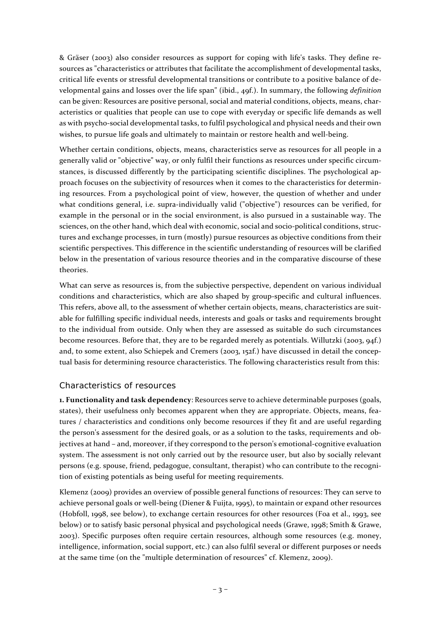& Gräser (2003) also consider resources as support for coping with life's tasks. They define resources as "characteristics or attributes that facilitate the accomplishment of developmental tasks, critical life events or stressful developmental transitions or contribute to a positive balance of developmental gains and losses over the life span" (ibid., 49f.). In summary, the following *definition* can be given: Resources are positive personal, social and material conditions, objects, means, characteristics or qualities that people can use to cope with everyday or specific life demands as well as with psycho-social developmental tasks, to fulfil psychological and physical needs and their own wishes, to pursue life goals and ultimately to maintain or restore health and well-being.

Whether certain conditions, objects, means, characteristics serve as resources for all people in a generally valid or "objective" way, or only fulfil their functions as resources under specific circumstances, is discussed differently by the participating scientific disciplines. The psychological approach focuses on the subjectivity of resources when it comes to the characteristics for determining resources. From a psychological point of view, however, the question of whether and under what conditions general, i.e. supra-individually valid ("objective") resources can be verified, for example in the personal or in the social environment, is also pursued in a sustainable way. The sciences, on the other hand, which deal with economic, social and socio-political conditions, structures and exchange processes, in turn (mostly) pursue resources as objective conditions from their scientific perspectives. This difference in the scientific understanding of resources will be clarified below in the presentation of various resource theories and in the comparative discourse of these theories.

What can serve as resources is, from the subjective perspective, dependent on various individual conditions and characteristics, which are also shaped by group-specific and cultural influences. This refers, above all, to the assessment of whether certain objects, means, characteristics are suitable for fulfilling specific individual needs, interests and goals or tasks and requirements brought to the individual from outside. Only when they are assessed as suitable do such circumstances become resources. Before that, they are to be regarded merely as potentials. Willutzki (2003, 94f.) and, to some extent, also Schiepek and Cremers (2003, 152f.) have discussed in detail the conceptual basis for determining resource characteristics. The following characteristics result from this:

## <span id="page-2-0"></span>Characteristics of resources

**1. Functionality and task dependency**: Resources serve to achieve determinable purposes (goals, states), their usefulness only becomes apparent when they are appropriate. Objects, means, features / characteristics and conditions only become resources if they fit and are useful regarding the person's assessment for the desired goals, or as a solution to the tasks, requirements and objectives at hand – and, moreover, if they correspond to the person's emotional-cognitive evaluation system. The assessment is not only carried out by the resource user, but also by socially relevant persons (e.g. spouse, friend, pedagogue, consultant, therapist) who can contribute to the recognition of existing potentials as being useful for meeting requirements.

Klemenz (2009) provides an overview of possible general functions of resources: They can serve to achieve personal goals or well-being (Diener & Fuijta, 1995), to maintain or expand other resources (Hobfoll, 1998, see below), to exchange certain resources for other resources (Foa et al., 1993, see below) or to satisfy basic personal physical and psychological needs (Grawe, 1998; Smith & Grawe, 2003). Specific purposes often require certain resources, although some resources (e.g. money, intelligence, information, social support, etc.) can also fulfil several or different purposes or needs at the same time (on the "multiple determination of resources" cf. Klemenz, 2009).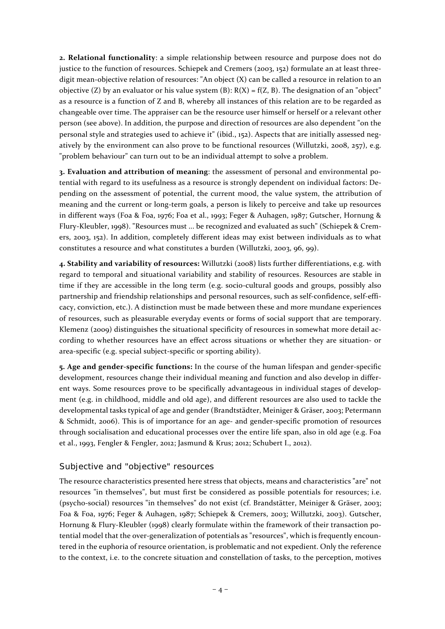**2. Relational functionality**: a simple relationship between resource and purpose does not do justice to the function of resources. Schiepek and Cremers (2003, 152) formulate an at least threedigit mean-objective relation of resources: "An object (X) can be called a resource in relation to an objective (Z) by an evaluator or his value system (B):  $R(X) = f(Z, B)$ . The designation of an "object" as a resource is a function of Z and B, whereby all instances of this relation are to be regarded as changeable over time. The appraiser can be the resource user himself or herself or a relevant other person (see above). In addition, the purpose and direction of resources are also dependent "on the personal style and strategies used to achieve it" (ibid., 152). Aspects that are initially assessed negatively by the environment can also prove to be functional resources (Willutzki, 2008, 257), e.g. "problem behaviour" can turn out to be an individual attempt to solve a problem.

**3. Evaluation and attribution of meaning**: the assessment of personal and environmental potential with regard to its usefulness as a resource is strongly dependent on individual factors: Depending on the assessment of potential, the current mood, the value system, the attribution of meaning and the current or long-term goals, a person is likely to perceive and take up resources in different ways (Foa & Foa, 1976; Foa et al., 1993; Feger & Auhagen, 1987; Gutscher, Hornung & Flury-Kleubler, 1998). "Resources must ... be recognized and evaluated as such" (Schiepek & Cremers, 2003, 152). In addition, completely different ideas may exist between individuals as to what constitutes a resource and what constitutes a burden (Willutzki, 2003, 96, 99).

**4. Stability and variability of resources:** Willutzki (2008) lists further differentiations, e.g. with regard to temporal and situational variability and stability of resources. Resources are stable in time if they are accessible in the long term (e.g. socio-cultural goods and groups, possibly also partnership and friendship relationships and personal resources, such as self-confidence, self-efficacy, conviction, etc.). A distinction must be made between these and more mundane experiences of resources, such as pleasurable everyday events or forms of social support that are temporary. Klemenz (2009) distinguishes the situational specificity of resources in somewhat more detail according to whether resources have an effect across situations or whether they are situation- or area-specific (e.g. special subject-specific or sporting ability).

**5. Age and gender-specific functions:** In the course of the human lifespan and gender-specific development, resources change their individual meaning and function and also develop in different ways. Some resources prove to be specifically advantageous in individual stages of development (e.g. in childhood, middle and old age), and different resources are also used to tackle the developmental tasks typical of age and gender (Brandtstädter, Meiniger & Gräser, 2003; Petermann & Schmidt, 2006). This is of importance for an age- and gender-specific promotion of resources through socialisation and educational processes over the entire life span, also in old age (e.g. Foa et al., 1993, Fengler & Fengler, 2012; Jasmund & Krus; 2012; Schubert I., 2012).

## <span id="page-3-0"></span>Subjective and "objective" resources

The resource characteristics presented here stress that objects, means and characteristics "are" not resources "in themselves", but must first be considered as possible potentials for resources; i.e. (psycho-social) resources "in themselves" do not exist (cf. Brandstätter, Meiniger & Gräser, 2003; Foa & Foa, 1976; Feger & Auhagen, 1987; Schiepek & Cremers, 2003; Willutzki, 2003). Gutscher, Hornung & Flury-Kleubler (1998) clearly formulate within the framework of their transaction potential model that the over-generalization of potentials as "resources", which is frequently encountered in the euphoria of resource orientation, is problematic and not expedient. Only the reference to the context, i.e. to the concrete situation and constellation of tasks, to the perception, motives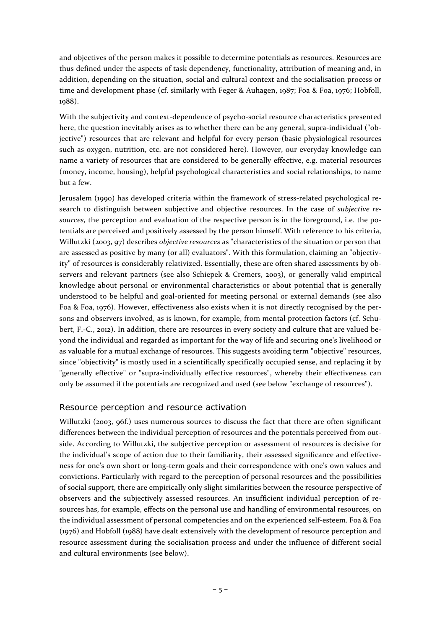and objectives of the person makes it possible to determine potentials as resources. Resources are thus defined under the aspects of task dependency, functionality, attribution of meaning and, in addition, depending on the situation, social and cultural context and the socialisation process or time and development phase (cf. similarly with Feger & Auhagen, 1987; Foa & Foa, 1976; Hobfoll, 1988).

With the subjectivity and context-dependence of psycho-social resource characteristics presented here, the question inevitably arises as to whether there can be any general, supra-individual ("objective") resources that are relevant and helpful for every person (basic physiological resources such as oxygen, nutrition, etc. are not considered here). However, our everyday knowledge can name a variety of resources that are considered to be generally effective, e.g. material resources (money, income, housing), helpful psychological characteristics and social relationships, to name but a few.

Jerusalem (1990) has developed criteria within the framework of stress-related psychological research to distinguish between subjective and objective resources. In the case of *subjective resources,* the perception and evaluation of the respective person is in the foreground, i.e. the potentials are perceived and positively assessed by the person himself. With reference to his criteria, Willutzki (2003, 97) describes *objective resources* as "characteristics of the situation or person that are assessed as positive by many (or all) evaluators". With this formulation, claiming an "objectivity" of resources is considerably relativized. Essentially, these are often shared assessments by observers and relevant partners (see also Schiepek & Cremers, 2003), or generally valid empirical knowledge about personal or environmental characteristics or about potential that is generally understood to be helpful and goal-oriented for meeting personal or external demands (see also Foa & Foa, 1976). However, effectiveness also exists when it is not directly recognised by the persons and observers involved, as is known, for example, from mental protection factors (cf. Schubert, F.-C., 2012). In addition, there are resources in every society and culture that are valued beyond the individual and regarded as important for the way of life and securing one's livelihood or as valuable for a mutual exchange of resources. This suggests avoiding term "objective" resources, since "objectivity" is mostly used in a scientifically specifically occupied sense, and replacing it by "generally effective" or "supra-individually effective resources", whereby their effectiveness can only be assumed if the potentials are recognized and used (see below "exchange of resources").

## <span id="page-4-0"></span>Resource perception and resource activation

Willutzki (2003, 96f.) uses numerous sources to discuss the fact that there are often significant differences between the individual perception of resources and the potentials perceived from outside. According to Willutzki, the subjective perception or assessment of resources is decisive for the individual's scope of action due to their familiarity, their assessed significance and effectiveness for one's own short or long-term goals and their correspondence with one's own values and convictions. Particularly with regard to the perception of personal resources and the possibilities of social support, there are empirically only slight similarities between the resource perspective of observers and the subjectively assessed resources. An insufficient individual perception of resources has, for example, effects on the personal use and handling of environmental resources, on the individual assessment of personal competencies and on the experienced self-esteem. Foa & Foa (1976) and Hobfoll (1988) have dealt extensively with the development of resource perception and resource assessment during the socialisation process and under the influence of different social and cultural environments (see below).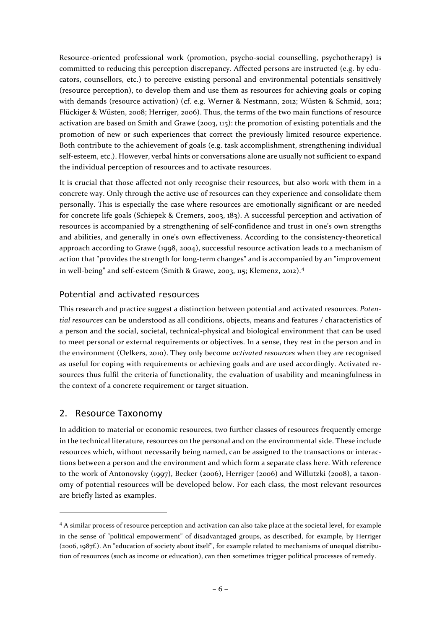Resource-oriented professional work (promotion, psycho-social counselling, psychotherapy) is committed to reducing this perception discrepancy. Affected persons are instructed (e.g. by educators, counsellors, etc.) to perceive existing personal and environmental potentials sensitively (resource perception), to develop them and use them as resources for achieving goals or coping with demands (resource activation) (cf. e.g. Werner & Nestmann, 2012; Wüsten & Schmid, 2012; Flückiger & Wüsten, 2008; Herriger, 2006). Thus, the terms of the two main functions of resource activation are based on Smith and Grawe (2003, 115): the promotion of existing potentials and the promotion of new or such experiences that correct the previously limited resource experience. Both contribute to the achievement of goals (e.g. task accomplishment, strengthening individual self-esteem, etc.). However, verbal hints or conversations alone are usually not sufficient to expand the individual perception of resources and to activate resources.

It is crucial that those affected not only recognise their resources, but also work with them in a concrete way. Only through the active use of resources can they experience and consolidate them personally. This is especially the case where resources are emotionally significant or are needed for concrete life goals (Schiepek & Cremers, 2003, 183). A successful perception and activation of resources is accompanied by a strengthening of self-confidence and trust in one's own strengths and abilities, and generally in one's own effectiveness. According to the consistency-theoretical approach according to Grawe (1998, 2004), successful resource activation leads to a mechanism of action that "provides the strength for long-term changes" and is accompanied by an "improvement in well-being" and self-esteem (Smith & Grawe, 2003, 115; Klemenz, 2012).[4](#page-5-2)

# <span id="page-5-0"></span>Potential and activated resources

This research and practice suggest a distinction between potential and activated resources. *Potential resources* can be understood as all conditions, objects, means and features / characteristics of a person and the social, societal, technical-physical and biological environment that can be used to meet personal or external requirements or objectives. In a sense, they rest in the person and in the environment (Oelkers, 2010). They only become *activated resources* when they are recognised as useful for coping with requirements or achieving goals and are used accordingly. Activated resources thus fulfil the criteria of functionality, the evaluation of usability and meaningfulness in the context of a concrete requirement or target situation.

# <span id="page-5-1"></span>2. Resource Taxonomy

In addition to material or economic resources, two further classes of resources frequently emerge in the technical literature, resources on the personal and on the environmental side. These include resources which, without necessarily being named, can be assigned to the transactions or interactions between a person and the environment and which form a separate class here. With reference to the work of Antonovsky (1997), Becker (2006), Herriger (2006) and Willutzki (2008), a taxonomy of potential resources will be developed below. For each class, the most relevant resources are briefly listed as examples.

<span id="page-5-2"></span><sup>4</sup> A similar process of resource perception and activation can also take place at the societal level, for example in the sense of "political empowerment" of disadvantaged groups, as described, for example, by Herriger (2006, 1987f.). An "education of society about itself", for example related to mechanisms of unequal distribution of resources (such as income or education), can then sometimes trigger political processes of remedy.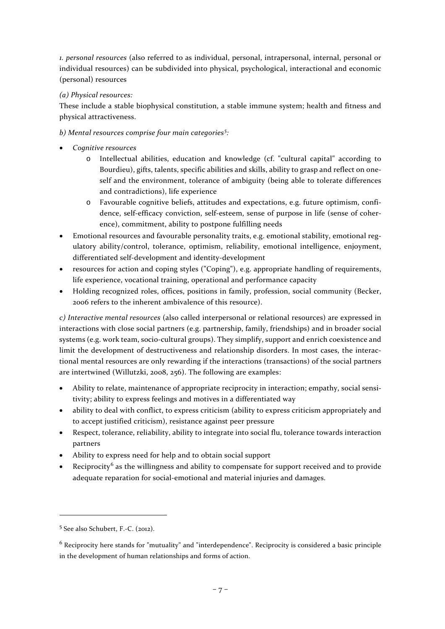*1. personal resources* (also referred to as individual, personal, intrapersonal, internal, personal or individual resources) can be subdivided into physical, psychological, interactional and economic (personal) resources

## *(a) Physical resources:*

These include a stable biophysical constitution, a stable immune system; health and fitness and physical attractiveness.

# *b) Mental resources comprise four main categories[5](#page-6-0) :*

- *Cognitive resources*
	- o Intellectual abilities, education and knowledge (cf. "cultural capital" according to Bourdieu), gifts, talents, specific abilities and skills, ability to grasp and reflect on oneself and the environment, tolerance of ambiguity (being able to tolerate differences and contradictions), life experience
	- o Favourable cognitive beliefs, attitudes and expectations, e.g. future optimism, confidence, self-efficacy conviction, self-esteem, sense of purpose in life (sense of coherence), commitment, ability to postpone fulfilling needs
- Emotional resources and favourable personality traits, e.g. emotional stability, emotional regulatory ability/control, tolerance, optimism, reliability, emotional intelligence, enjoyment, differentiated self-development and identity-development
- resources for action and coping styles ("Coping"), e.g. appropriate handling of requirements, life experience, vocational training, operational and performance capacity
- Holding recognized roles, offices, positions in family, profession, social community (Becker, 2006 refers to the inherent ambivalence of this resource).

*c) Interactive mental resources* (also called interpersonal or relational resources) are expressed in interactions with close social partners (e.g. partnership, family, friendships) and in broader social systems (e.g. work team, socio-cultural groups). They simplify, support and enrich coexistence and limit the development of destructiveness and relationship disorders. In most cases, the interactional mental resources are only rewarding if the interactions (transactions) of the social partners are intertwined (Willutzki, 2008, 256). The following are examples:

- Ability to relate, maintenance of appropriate reciprocity in interaction; empathy, social sensitivity; ability to express feelings and motives in a differentiated way
- ability to deal with conflict, to express criticism (ability to express criticism appropriately and to accept justified criticism), resistance against peer pressure
- Respect, tolerance, reliability, ability to integrate into social flu, tolerance towards interaction partners
- Ability to express need for help and to obtain social support
- Reciprocity<sup>[6](#page-6-1)</sup> as the willingness and ability to compensate for support received and to provide adequate reparation for social-emotional and material injuries and damages.

<span id="page-6-0"></span><sup>5</sup> See also Schubert, F.-C. (2012).

<span id="page-6-1"></span> $6$  Reciprocity here stands for "mutuality" and "interdependence". Reciprocity is considered a basic principle in the development of human relationships and forms of action.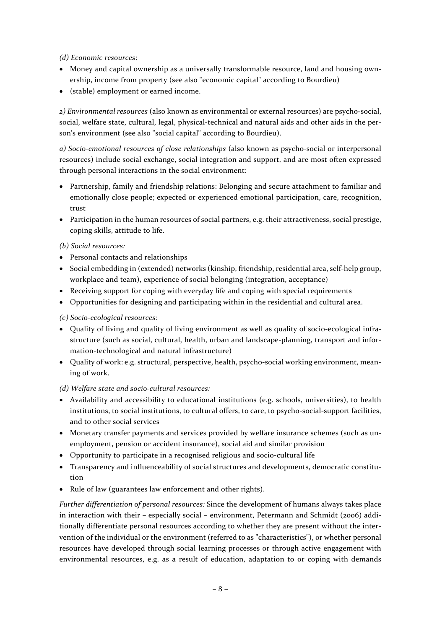*(d) Economic resources*:

- Money and capital ownership as a universally transformable resource, land and housing ownership, income from property (see also "economic capital" according to Bourdieu)
- (stable) employment or earned income.

*2) Environmental resources* (also known as environmental or external resources) are psycho-social, social, welfare state, cultural, legal, physical-technical and natural aids and other aids in the person's environment (see also "social capital" according to Bourdieu).

*a) Socio-emotional resources of close relationships* (also known as psycho-social or interpersonal resources) include social exchange, social integration and support, and are most often expressed through personal interactions in the social environment:

- Partnership, family and friendship relations: Belonging and secure attachment to familiar and emotionally close people; expected or experienced emotional participation, care, recognition, trust
- Participation in the human resources of social partners, e.g. their attractiveness, social prestige, coping skills, attitude to life.

*(b) Social resources:*

- Personal contacts and relationships
- Social embedding in (extended) networks (kinship, friendship, residential area, self-help group, workplace and team), experience of social belonging (integration, acceptance)
- Receiving support for coping with everyday life and coping with special requirements
- Opportunities for designing and participating within in the residential and cultural area.

*(c) Socio-ecological resources:*

- Quality of living and quality of living environment as well as quality of socio-ecological infrastructure (such as social, cultural, health, urban and landscape-planning, transport and information-technological and natural infrastructure)
- Quality of work: e.g. structural, perspective, health, psycho-social working environment, meaning of work.
- *(d) Welfare state and socio-cultural resources:*
- Availability and accessibility to educational institutions (e.g. schools, universities), to health institutions, to social institutions, to cultural offers, to care, to psycho-social-support facilities, and to other social services
- Monetary transfer payments and services provided by welfare insurance schemes (such as unemployment, pension or accident insurance), social aid and similar provision
- Opportunity to participate in a recognised religious and socio-cultural life
- Transparency and influenceability of social structures and developments, democratic constitution
- Rule of law (guarantees law enforcement and other rights).

*Further differentiation of personal resources:* Since the development of humans always takes place in interaction with their – especially social – environment, Petermann and Schmidt (2006) additionally differentiate personal resources according to whether they are present without the intervention of the individual or the environment (referred to as "characteristics"), or whether personal resources have developed through social learning processes or through active engagement with environmental resources, e.g. as a result of education, adaptation to or coping with demands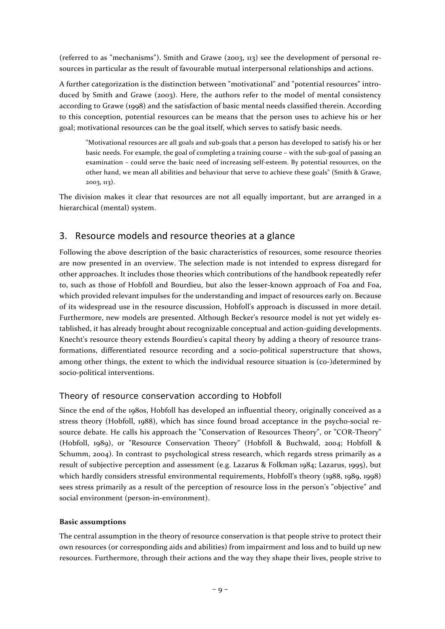(referred to as "mechanisms"). Smith and Grawe (2003, 113) see the development of personal resources in particular as the result of favourable mutual interpersonal relationships and actions.

A further categorization is the distinction between "motivational" and "potential resources" introduced by Smith and Grawe (2003). Here, the authors refer to the model of mental consistency according to Grawe (1998) and the satisfaction of basic mental needs classified therein. According to this conception, potential resources can be means that the person uses to achieve his or her goal; motivational resources can be the goal itself, which serves to satisfy basic needs.

"Motivational resources are all goals and sub-goals that a person has developed to satisfy his or her basic needs. For example, the goal of completing a training course – with the sub-goal of passing an examination – could serve the basic need of increasing self-esteem. By potential resources, on the other hand, we mean all abilities and behaviour that serve to achieve these goals" (Smith & Grawe, 2003, 113).

The division makes it clear that resources are not all equally important, but are arranged in a hierarchical (mental) system.

# <span id="page-8-0"></span>3. Resource models and resource theories at a glance

Following the above description of the basic characteristics of resources, some resource theories are now presented in an overview. The selection made is not intended to express disregard for other approaches. It includes those theories which contributions of the handbook repeatedly refer to, such as those of Hobfoll and Bourdieu, but also the lesser-known approach of Foa and Foa, which provided relevant impulses for the understanding and impact of resources early on. Because of its widespread use in the resource discussion, Hobfoll's approach is discussed in more detail. Furthermore, new models are presented. Although Becker's resource model is not yet widely established, it has already brought about recognizable conceptual and action-guiding developments. Knecht's resource theory extends Bourdieu's capital theory by adding a theory of resource transformations, differentiated resource recording and a socio-political superstructure that shows, among other things, the extent to which the individual resource situation is (co-)determined by socio-political interventions.

# <span id="page-8-1"></span>Theory of resource conservation according to Hobfoll

Since the end of the 1980s, Hobfoll has developed an influential theory, originally conceived as a stress theory (Hobfoll, 1988), which has since found broad acceptance in the psycho-social resource debate. He calls his approach the "Conservation of Resources Theory", or "COR-Theory" (Hobfoll, 1989), or "Resource Conservation Theory" (Hobfoll & Buchwald, 2004; Hobfoll & Schumm, 2004). In contrast to psychological stress research, which regards stress primarily as a result of subjective perception and assessment (e.g. Lazarus & Folkman 1984; Lazarus, 1995), but which hardly considers stressful environmental requirements, Hobfoll's theory (1988, 1989, 1998) sees stress primarily as a result of the perception of resource loss in the person's "objective" and social environment (person-in-environment).

#### **Basic assumptions**

The central assumption in the theory of resource conservation is that people strive to protect their own resources (or corresponding aids and abilities) from impairment and loss and to build up new resources. Furthermore, through their actions and the way they shape their lives, people strive to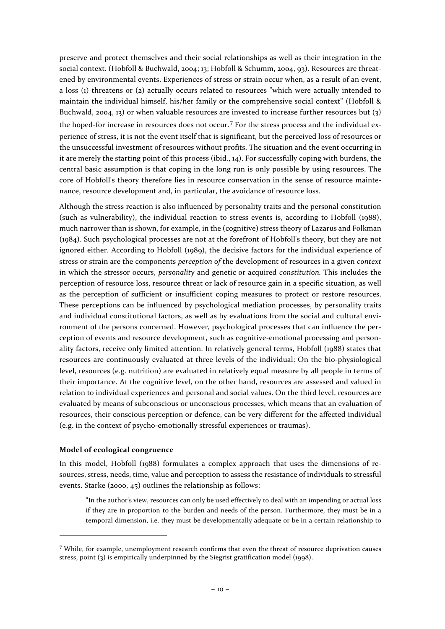preserve and protect themselves and their social relationships as well as their integration in the social context. (Hobfoll & Buchwald, 2004; 13; Hobfoll & Schumm, 2004, 93). Resources are threatened by environmental events. Experiences of stress or strain occur when, as a result of an event, a loss (1) threatens or (2) actually occurs related to resources "which were actually intended to maintain the individual himself, his/her family or the comprehensive social context" (Hobfoll & Buchwald, 2004, 13) or when valuable resources are invested to increase further resources but (3) the hoped-for increase in resources does not occur.[7](#page-9-0) For the stress process and the individual experience of stress, it is not the event itself that is significant, but the perceived loss of resources or the unsuccessful investment of resources without profits. The situation and the event occurring in it are merely the starting point of this process (ibid., 14). For successfully coping with burdens, the central basic assumption is that coping in the long run is only possible by using resources. The core of Hobfoll's theory therefore lies in resource conservation in the sense of resource maintenance, resource development and, in particular, the avoidance of resource loss.

Although the stress reaction is also influenced by personality traits and the personal constitution (such as vulnerability), the individual reaction to stress events is, according to Hobfoll (1988), much narrower than is shown, for example, in the (cognitive) stress theory of Lazarus and Folkman (1984). Such psychological processes are not at the forefront of Hobfoll's theory, but they are not ignored either. According to Hobfoll (1989), the decisive factors for the individual experience of stress or strain are the components *perception of* the development of resources in a given *context* in which the stressor occurs, *personality* and genetic or acquired *constitution.* This includes the perception of resource loss, resource threat or lack of resource gain in a specific situation, as well as the perception of sufficient or insufficient coping measures to protect or restore resources. These perceptions can be influenced by psychological mediation processes, by personality traits and individual constitutional factors, as well as by evaluations from the social and cultural environment of the persons concerned. However, psychological processes that can influence the perception of events and resource development, such as cognitive-emotional processing and personality factors, receive only limited attention. In relatively general terms, Hobfoll (1988) states that resources are continuously evaluated at three levels of the individual: On the bio-physiological level, resources (e.g. nutrition) are evaluated in relatively equal measure by all people in terms of their importance. At the cognitive level, on the other hand, resources are assessed and valued in relation to individual experiences and personal and social values. On the third level, resources are evaluated by means of subconscious or unconscious processes, which means that an evaluation of resources, their conscious perception or defence, can be very different for the affected individual (e.g. in the context of psycho-emotionally stressful experiences or traumas).

#### **Model of ecological congruence**

l

In this model, Hobfoll (1988) formulates a complex approach that uses the dimensions of resources, stress, needs, time, value and perception to assess the resistance of individuals to stressful events. Starke (2000, 45) outlines the relationship as follows:

"In the author's view, resources can only be used effectively to deal with an impending or actual loss if they are in proportion to the burden and needs of the person. Furthermore, they must be in a temporal dimension, i.e. they must be developmentally adequate or be in a certain relationship to

<span id="page-9-0"></span> $7$  While, for example, unemployment research confirms that even the threat of resource deprivation causes stress, point (3) is empirically underpinned by the Siegrist gratification model (1998).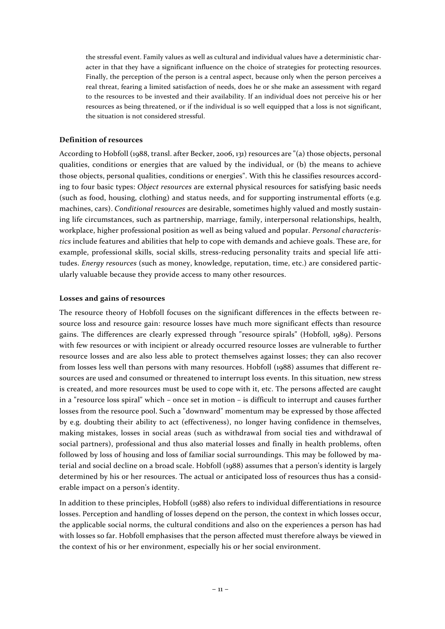the stressful event. Family values as well as cultural and individual values have a deterministic character in that they have a significant influence on the choice of strategies for protecting resources. Finally, the perception of the person is a central aspect, because only when the person perceives a real threat, fearing a limited satisfaction of needs, does he or she make an assessment with regard to the resources to be invested and their availability. If an individual does not perceive his or her resources as being threatened, or if the individual is so well equipped that a loss is not significant, the situation is not considered stressful.

#### **Definition of resources**

According to Hobfoll (1988, transl. after Becker, 2006, 131) resources are "(a) those objects, personal qualities, conditions or energies that are valued by the individual, or (b) the means to achieve those objects, personal qualities, conditions or energies". With this he classifies resources according to four basic types: *Object resources* are external physical resources for satisfying basic needs (such as food, housing, clothing) and status needs, and for supporting instrumental efforts (e.g. machines, cars). *Conditional resources* are desirable, sometimes highly valued and mostly sustaining life circumstances, such as partnership, marriage, family, interpersonal relationships, health, workplace, higher professional position as well as being valued and popular. *Personal characteristics* include features and abilities that help to cope with demands and achieve goals. These are, for example, professional skills, social skills, stress-reducing personality traits and special life attitudes. *Energy resources* (such as money, knowledge, reputation, time, etc.) are considered particularly valuable because they provide access to many other resources.

#### **Losses and gains of resources**

The resource theory of Hobfoll focuses on the significant differences in the effects between resource loss and resource gain: resource losses have much more significant effects than resource gains. The differences are clearly expressed through "resource spirals" (Hobfoll, 1989). Persons with few resources or with incipient or already occurred resource losses are vulnerable to further resource losses and are also less able to protect themselves against losses; they can also recover from losses less well than persons with many resources. Hobfoll (1988) assumes that different resources are used and consumed or threatened to interrupt loss events. In this situation, new stress is created, and more resources must be used to cope with it, etc. The persons affected are caught in a "resource loss spiral" which – once set in motion – is difficult to interrupt and causes further losses from the resource pool. Such a "downward" momentum may be expressed by those affected by e.g. doubting their ability to act (effectiveness), no longer having confidence in themselves, making mistakes, losses in social areas (such as withdrawal from social ties and withdrawal of social partners), professional and thus also material losses and finally in health problems, often followed by loss of housing and loss of familiar social surroundings. This may be followed by material and social decline on a broad scale. Hobfoll (1988) assumes that a person's identity is largely determined by his or her resources. The actual or anticipated loss of resources thus has a considerable impact on a person's identity.

In addition to these principles, Hobfoll (1988) also refers to individual differentiations in resource losses. Perception and handling of losses depend on the person, the context in which losses occur, the applicable social norms, the cultural conditions and also on the experiences a person has had with losses so far. Hobfoll emphasises that the person affected must therefore always be viewed in the context of his or her environment, especially his or her social environment.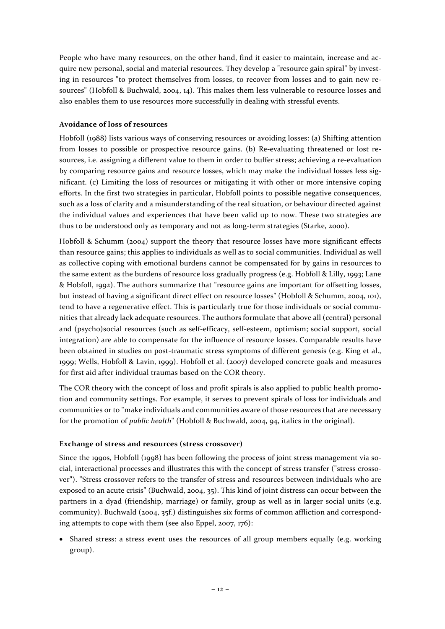People who have many resources, on the other hand, find it easier to maintain, increase and acquire new personal, social and material resources. They develop a "resource gain spiral" by investing in resources "to protect themselves from losses, to recover from losses and to gain new resources" (Hobfoll & Buchwald, 2004, 14). This makes them less vulnerable to resource losses and also enables them to use resources more successfully in dealing with stressful events.

#### **Avoidance of loss of resources**

Hobfoll (1988) lists various ways of conserving resources or avoiding losses: (a) Shifting attention from losses to possible or prospective resource gains. (b) Re-evaluating threatened or lost resources, i.e. assigning a different value to them in order to buffer stress; achieving a re-evaluation by comparing resource gains and resource losses, which may make the individual losses less significant. (c) Limiting the loss of resources or mitigating it with other or more intensive coping efforts. In the first two strategies in particular, Hobfoll points to possible negative consequences, such as a loss of clarity and a misunderstanding of the real situation, or behaviour directed against the individual values and experiences that have been valid up to now. These two strategies are thus to be understood only as temporary and not as long-term strategies (Starke, 2000).

Hobfoll & Schumm (2004) support the theory that resource losses have more significant effects than resource gains; this applies to individuals as well as to social communities. Individual as well as collective coping with emotional burdens cannot be compensated for by gains in resources to the same extent as the burdens of resource loss gradually progress (e.g. Hobfoll & Lilly, 1993; Lane & Hobfoll, 1992). The authors summarize that "resource gains are important for offsetting losses, but instead of having a significant direct effect on resource losses" (Hobfoll & Schumm, 2004, 101), tend to have a regenerative effect. This is particularly true for those individuals or social communities that already lack adequate resources. The authors formulate that above all (central) personal and (psycho)social resources (such as self-efficacy, self-esteem, optimism; social support, social integration) are able to compensate for the influence of resource losses. Comparable results have been obtained in studies on post-traumatic stress symptoms of different genesis (e.g. King et al., 1999; Wells, Hobfoll & Lavin, 1999). Hobfoll et al. (2007) developed concrete goals and measures for first aid after individual traumas based on the COR theory.

The COR theory with the concept of loss and profit spirals is also applied to public health promotion and community settings. For example, it serves to prevent spirals of loss for individuals and communities or to "make individuals and communities aware of those resources that are necessary for the promotion of *public health*" (Hobfoll & Buchwald, 2004, 94, italics in the original).

## **Exchange of stress and resources (stress crossover)**

Since the 1990s, Hobfoll (1998) has been following the process of joint stress management via social, interactional processes and illustrates this with the concept of stress transfer ("stress crossover"). "Stress crossover refers to the transfer of stress and resources between individuals who are exposed to an acute crisis" (Buchwald, 2004, 35). This kind of joint distress can occur between the partners in a dyad (friendship, marriage) or family, group as well as in larger social units (e.g. community). Buchwald (2004, 35f.) distinguishes six forms of common affliction and corresponding attempts to cope with them (see also Eppel, 2007, 176):

• Shared stress: a stress event uses the resources of all group members equally (e.g. working group).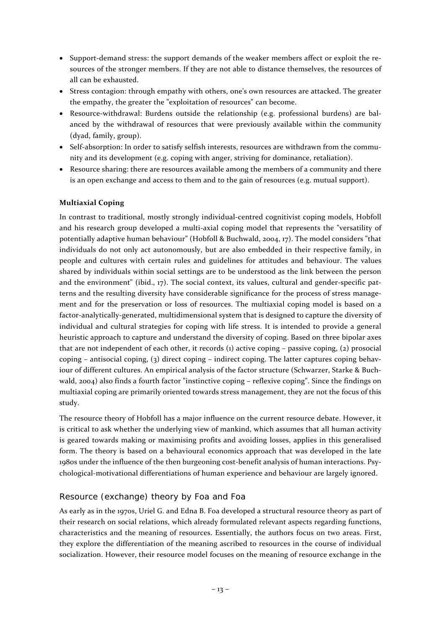- Support-demand stress: the support demands of the weaker members affect or exploit the resources of the stronger members. If they are not able to distance themselves, the resources of all can be exhausted.
- Stress contagion: through empathy with others, one's own resources are attacked. The greater the empathy, the greater the "exploitation of resources" can become.
- Resource-withdrawal: Burdens outside the relationship (e.g. professional burdens) are balanced by the withdrawal of resources that were previously available within the community (dyad, family, group).
- Self-absorption: In order to satisfy selfish interests, resources are withdrawn from the community and its development (e.g. coping with anger, striving for dominance, retaliation).
- Resource sharing: there are resources available among the members of a community and there is an open exchange and access to them and to the gain of resources (e.g. mutual support).

## **Multiaxial Coping**

In contrast to traditional, mostly strongly individual-centred cognitivist coping models, Hobfoll and his research group developed a multi-axial coping model that represents the "versatility of potentially adaptive human behaviour" (Hobfoll & Buchwald, 2004, 17). The model considers "that individuals do not only act autonomously, but are also embedded in their respective family, in people and cultures with certain rules and guidelines for attitudes and behaviour. The values shared by individuals within social settings are to be understood as the link between the person and the environment" (ibid., 17). The social context, its values, cultural and gender-specific patterns and the resulting diversity have considerable significance for the process of stress management and for the preservation or loss of resources. The multiaxial coping model is based on a factor-analytically-generated, multidimensional system that is designed to capture the diversity of individual and cultural strategies for coping with life stress. It is intended to provide a general heuristic approach to capture and understand the diversity of coping. Based on three bipolar axes that are not independent of each other, it records  $(i)$  active coping – passive coping,  $(i)$  prosocial coping – antisocial coping, (3) direct coping – indirect coping. The latter captures coping behaviour of different cultures. An empirical analysis of the factor structure (Schwarzer, Starke & Buchwald, 2004) also finds a fourth factor "instinctive coping – reflexive coping". Since the findings on multiaxial coping are primarily oriented towards stress management, they are not the focus of this study.

The resource theory of Hobfoll has a major influence on the current resource debate. However, it is critical to ask whether the underlying view of mankind, which assumes that all human activity is geared towards making or maximising profits and avoiding losses, applies in this generalised form. The theory is based on a behavioural economics approach that was developed in the late 1980s under the influence of the then burgeoning cost-benefit analysis of human interactions. Psychological-motivational differentiations of human experience and behaviour are largely ignored.

# <span id="page-12-0"></span>Resource (exchange) theory by Foa and Foa

As early as in the 1970s, Uriel G. and Edna B. Foa developed a structural resource theory as part of their research on social relations, which already formulated relevant aspects regarding functions, characteristics and the meaning of resources. Essentially, the authors focus on two areas. First, they explore the differentiation of the meaning ascribed to resources in the course of individual socialization. However, their resource model focuses on the meaning of resource exchange in the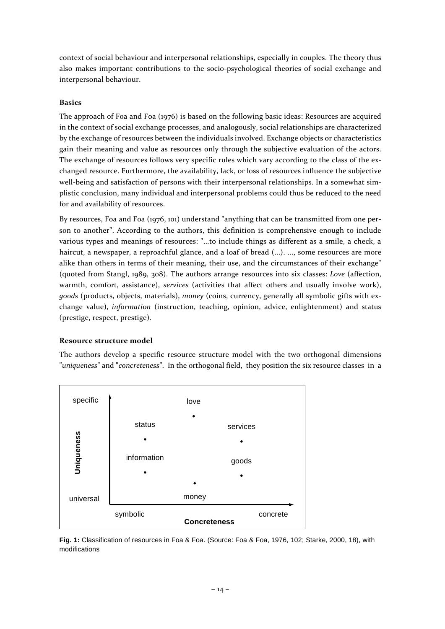context of social behaviour and interpersonal relationships, especially in couples. The theory thus also makes important contributions to the socio-psychological theories of social exchange and interpersonal behaviour.

#### **Basics**

The approach of Foa and Foa (1976) is based on the following basic ideas: Resources are acquired in the context of social exchange processes, and analogously, social relationships are characterized by the exchange of resources between the individuals involved. Exchange objects or characteristics gain their meaning and value as resources only through the subjective evaluation of the actors. The exchange of resources follows very specific rules which vary according to the class of the exchanged resource. Furthermore, the availability, lack, or loss of resources influence the subjective well-being and satisfaction of persons with their interpersonal relationships. In a somewhat simplistic conclusion, many individual and interpersonal problems could thus be reduced to the need for and availability of resources.

By resources, Foa and Foa (1976, 101) understand "anything that can be transmitted from one person to another". According to the authors, this definition is comprehensive enough to include various types and meanings of resources: "...to include things as different as a smile, a check, a haircut, a newspaper, a reproachful glance, and a loaf of bread (...). ..., some resources are more alike than others in terms of their meaning, their use, and the circumstances of their exchange" (quoted from Stangl, 1989, 308). The authors arrange resources into six classes: *Love* (affection, warmth, comfort, assistance), *services* (activities that affect others and usually involve work), *goods* (products, objects, materials), *money* (coins, currency, generally all symbolic gifts with exchange value), *information* (instruction, teaching, opinion, advice, enlightenment) and status (prestige, respect, prestige).

#### **Resource structure model**

The authors develop a specific resource structure model with the two orthogonal dimensions "*uniqueness*" and "*concreteness*". In the orthogonal field, they position the six resource classes in a



**Fig. 1:** Classification of resources in Foa & Foa. (Source: Foa & Foa, 1976, 102; Starke, 2000, 18), with modifications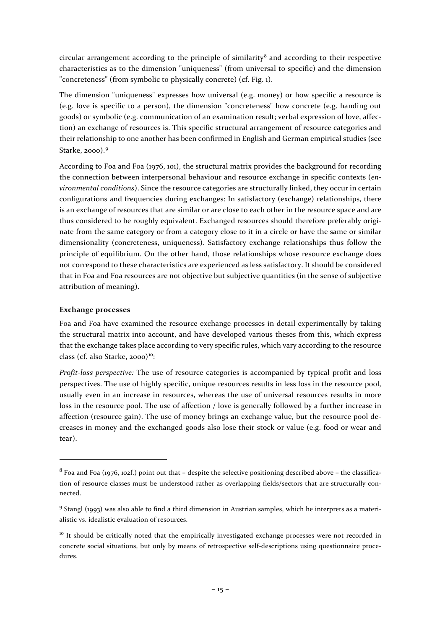circular arrangement according to the principle of similarity<sup>[8](#page-14-0)</sup> and according to their respective characteristics as to the dimension "uniqueness" (from universal to specific) and the dimension "concreteness" (from symbolic to physically concrete) (cf. Fig. 1).

The dimension "uniqueness" expresses how universal (e.g. money) or how specific a resource is (e.g. love is specific to a person), the dimension "concreteness" how concrete (e.g. handing out goods) or symbolic (e.g. communication of an examination result; verbal expression of love, affection) an exchange of resources is. This specific structural arrangement of resource categories and their relationship to one another has been confirmed in English and German empirical studies (see Starke, 2000).[9](#page-14-1)

According to Foa and Foa (1976, 101), the structural matrix provides the background for recording the connection between interpersonal behaviour and resource exchange in specific contexts (*environmental conditions*). Since the resource categories are structurally linked, they occur in certain configurations and frequencies during exchanges: In satisfactory (exchange) relationships, there is an exchange of resources that are similar or are close to each other in the resource space and are thus considered to be roughly equivalent. Exchanged resources should therefore preferably originate from the same category or from a category close to it in a circle or have the same or similar dimensionality (concreteness, uniqueness). Satisfactory exchange relationships thus follow the principle of equilibrium. On the other hand, those relationships whose resource exchange does not correspond to these characteristics are experienced as less satisfactory. It should be considered that in Foa and Foa resources are not objective but subjective quantities (in the sense of subjective attribution of meaning).

#### **Exchange processes**

l

Foa and Foa have examined the resource exchange processes in detail experimentally by taking the structural matrix into account, and have developed various theses from this, which express that the exchange takes place according to very specific rules, which vary according to the resource class (cf. also Starke,  $2000^{10}$ :

*Profit-loss perspective:* The use of resource categories is accompanied by typical profit and loss perspectives. The use of highly specific, unique resources results in less loss in the resource pool, usually even in an increase in resources, whereas the use of universal resources results in more loss in the resource pool. The use of affection / love is generally followed by a further increase in affection (resource gain). The use of money brings an exchange value, but the resource pool decreases in money and the exchanged goods also lose their stock or value (e.g. food or wear and tear).

<span id="page-14-0"></span><sup>8</sup> Foa and Foa (1976, 102f.) point out that – despite the selective positioning described above – the classification of resource classes must be understood rather as overlapping fields/sectors that are structurally connected.

<span id="page-14-1"></span><sup>9</sup> Stangl (1993) was also able to find a third dimension in Austrian samples, which he interprets as a materialistic vs. idealistic evaluation of resources.

<span id="page-14-2"></span><sup>&</sup>lt;sup>10</sup> It should be critically noted that the empirically investigated exchange processes were not recorded in concrete social situations, but only by means of retrospective self-descriptions using questionnaire procedures.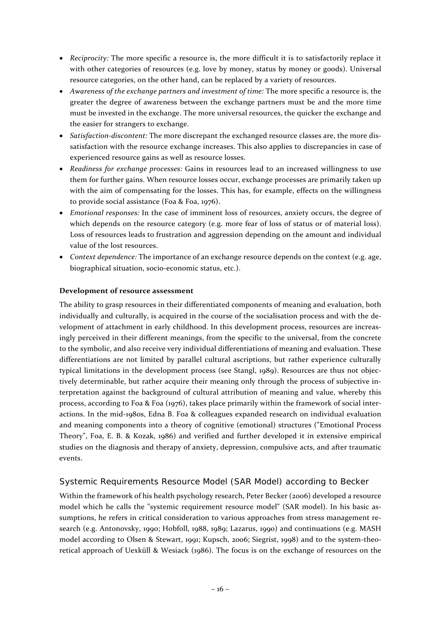- *Reciprocity:* The more specific a resource is, the more difficult it is to satisfactorily replace it with other categories of resources (e.g. love by money, status by money or goods). Universal resource categories, on the other hand, can be replaced by a variety of resources.
- *Awareness of the exchange partners and investment of time:* The more specific a resource is, the greater the degree of awareness between the exchange partners must be and the more time must be invested in the exchange. The more universal resources, the quicker the exchange and the easier for strangers to exchange.
- *Satisfaction-discontent:* The more discrepant the exchanged resource classes are, the more dissatisfaction with the resource exchange increases. This also applies to discrepancies in case of experienced resource gains as well as resource losses.
- *Readiness for exchange processes:* Gains in resources lead to an increased willingness to use them for further gains. When resource losses occur, exchange processes are primarily taken up with the aim of compensating for the losses. This has, for example, effects on the willingness to provide social assistance (Foa & Foa, 1976).
- *Emotional responses:* In the case of imminent loss of resources, anxiety occurs, the degree of which depends on the resource category (e.g. more fear of loss of status or of material loss). Loss of resources leads to frustration and aggression depending on the amount and individual value of the lost resources.
- *Context dependence:* The importance of an exchange resource depends on the context (e.g. age, biographical situation, socio-economic status, etc.).

## **Development of resource assessment**

The ability to grasp resources in their differentiated components of meaning and evaluation, both individually and culturally, is acquired in the course of the socialisation process and with the development of attachment in early childhood. In this development process, resources are increasingly perceived in their different meanings, from the specific to the universal, from the concrete to the symbolic, and also receive very individual differentiations of meaning and evaluation. These differentiations are not limited by parallel cultural ascriptions, but rather experience culturally typical limitations in the development process (see Stangl, 1989). Resources are thus not objectively determinable, but rather acquire their meaning only through the process of subjective interpretation against the background of cultural attribution of meaning and value, whereby this process, according to Foa & Foa (1976), takes place primarily within the framework of social interactions. In the mid-1980s, Edna B. Foa & colleagues expanded research on individual evaluation and meaning components into a theory of cognitive (emotional) structures ("Emotional Process Theory", Foa, E. B. & Kozak, 1986) and verified and further developed it in extensive empirical studies on the diagnosis and therapy of anxiety, depression, compulsive acts, and after traumatic events.

## <span id="page-15-0"></span>Systemic Requirements Resource Model (SAR Model) according to Becker

Within the framework of his health psychology research, Peter Becker (2006) developed a resource model which he calls the "systemic requirement resource model" (SAR model). In his basic assumptions, he refers in critical consideration to various approaches from stress management research (e.g. Antonovsky, 1990; Hobfoll, 1988, 1989; Lazarus, 1990) and continuations (e.g. MASH model according to Olsen & Stewart, 1991; Kupsch, 2006; Siegrist, 1998) and to the system-theoretical approach of Uexküll & Wesiack (1986). The focus is on the exchange of resources on the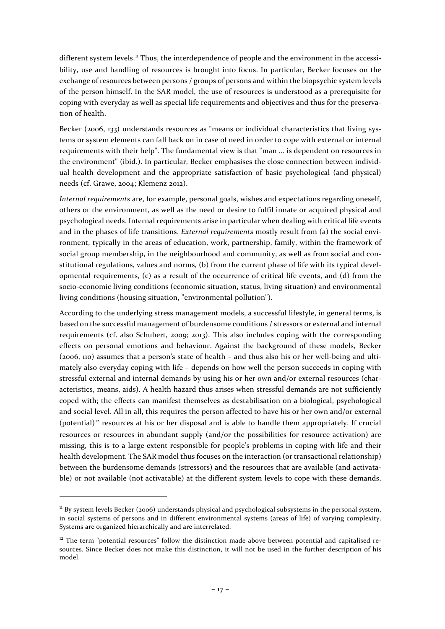different system levels.<sup>[11](#page-16-0)</sup> Thus, the interdependence of people and the environment in the accessibility, use and handling of resources is brought into focus. In particular, Becker focuses on the exchange of resources between persons / groups of persons and within the biopsychic system levels of the person himself. In the SAR model, the use of resources is understood as a prerequisite for coping with everyday as well as special life requirements and objectives and thus for the preservation of health.

Becker (2006, 133) understands resources as "means or individual characteristics that living systems or system elements can fall back on in case of need in order to cope with external or internal requirements with their help". The fundamental view is that "man ... is dependent on resources in the environment" (ibid.). In particular, Becker emphasises the close connection between individual health development and the appropriate satisfaction of basic psychological (and physical) needs (cf. Grawe, 2004; Klemenz 2012).

*Internal requirements* are, for example, personal goals, wishes and expectations regarding oneself, others or the environment, as well as the need or desire to fulfil innate or acquired physical and psychological needs. Internal requirements arise in particular when dealing with critical life events and in the phases of life transitions. *External requirements* mostly result from (a) the social environment, typically in the areas of education, work, partnership, family, within the framework of social group membership, in the neighbourhood and community, as well as from social and constitutional regulations, values and norms, (b) from the current phase of life with its typical developmental requirements, (c) as a result of the occurrence of critical life events, and (d) from the socio-economic living conditions (economic situation, status, living situation) and environmental living conditions (housing situation, "environmental pollution").

According to the underlying stress management models, a successful lifestyle, in general terms, is based on the successful management of burdensome conditions / stressors or external and internal requirements (cf. also Schubert, 2009; 2013). This also includes coping with the corresponding effects on personal emotions and behaviour. Against the background of these models, Becker (2006, 110) assumes that a person's state of health – and thus also his or her well-being and ultimately also everyday coping with life – depends on how well the person succeeds in coping with stressful external and internal demands by using his or her own and/or external resources (characteristics, means, aids). A health hazard thus arises when stressful demands are not sufficiently coped with; the effects can manifest themselves as destabilisation on a biological, psychological and social level. All in all, this requires the person affected to have his or her own and/or external  $(potential)<sup>12</sup>$  $(potential)<sup>12</sup>$  $(potential)<sup>12</sup>$  resources at his or her disposal and is able to handle them appropriately. If crucial resources or resources in abundant supply (and/or the possibilities for resource activation) are missing, this is to a large extent responsible for people's problems in coping with life and their health development. The SAR model thus focuses on the interaction (or transactional relationship) between the burdensome demands (stressors) and the resources that are available (and activatable) or not available (not activatable) at the different system levels to cope with these demands.

<span id="page-16-0"></span><sup>&</sup>lt;sup>11</sup> By system levels Becker (2006) understands physical and psychological subsystems in the personal system, in social systems of persons and in different environmental systems (areas of life) of varying complexity. Systems are organized hierarchically and are interrelated.

<span id="page-16-1"></span> $12$  The term "potential resources" follow the distinction made above between potential and capitalised resources. Since Becker does not make this distinction, it will not be used in the further description of his model.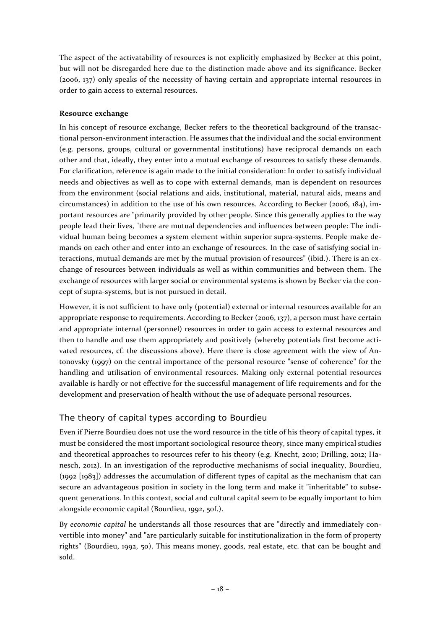The aspect of the activatability of resources is not explicitly emphasized by Becker at this point, but will not be disregarded here due to the distinction made above and its significance. Becker (2006, 137) only speaks of the necessity of having certain and appropriate internal resources in order to gain access to external resources.

## **Resource exchange**

In his concept of resource exchange, Becker refers to the theoretical background of the transactional person-environment interaction. He assumes that the individual and the social environment (e.g. persons, groups, cultural or governmental institutions) have reciprocal demands on each other and that, ideally, they enter into a mutual exchange of resources to satisfy these demands. For clarification, reference is again made to the initial consideration: In order to satisfy individual needs and objectives as well as to cope with external demands, man is dependent on resources from the environment (social relations and aids, institutional, material, natural aids, means and circumstances) in addition to the use of his own resources. According to Becker (2006, 184), important resources are "primarily provided by other people. Since this generally applies to the way people lead their lives, "there are mutual dependencies and influences between people: The individual human being becomes a system element within superior supra-systems. People make demands on each other and enter into an exchange of resources. In the case of satisfying social interactions, mutual demands are met by the mutual provision of resources" (ibid.). There is an exchange of resources between individuals as well as within communities and between them. The exchange of resources with larger social or environmental systems is shown by Becker via the concept of supra-systems, but is not pursued in detail.

However, it is not sufficient to have only (potential) external or internal resources available for an appropriate response to requirements. According to Becker (2006, 137), a person must have certain and appropriate internal (personnel) resources in order to gain access to external resources and then to handle and use them appropriately and positively (whereby potentials first become activated resources, cf. the discussions above). Here there is close agreement with the view of Antonovsky (1997) on the central importance of the personal resource "sense of coherence" for the handling and utilisation of environmental resources. Making only external potential resources available is hardly or not effective for the successful management of life requirements and for the development and preservation of health without the use of adequate personal resources.

# <span id="page-17-0"></span>The theory of capital types according to Bourdieu

Even if Pierre Bourdieu does not use the word resource in the title of his theory of capital types, it must be considered the most important sociological resource theory, since many empirical studies and theoretical approaches to resources refer to his theory (e.g. Knecht, 2010; Drilling, 2012; Hanesch, 2012). In an investigation of the reproductive mechanisms of social inequality, Bourdieu, (1992 [1983]) addresses the accumulation of different types of capital as the mechanism that can secure an advantageous position in society in the long term and make it "inheritable" to subsequent generations. In this context, social and cultural capital seem to be equally important to him alongside economic capital (Bourdieu, 1992, 50f.).

By *economic capital* he understands all those resources that are "directly and immediately convertible into money" and "are particularly suitable for institutionalization in the form of property rights" (Bourdieu, 1992, 50). This means money, goods, real estate, etc. that can be bought and sold.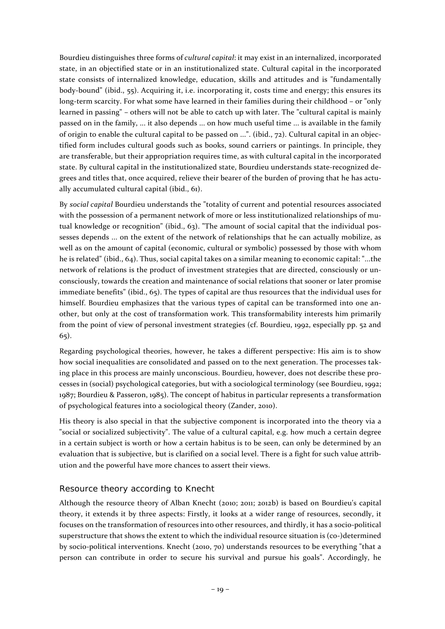Bourdieu distinguishes three forms of *cultural capital*: it may exist in an internalized, incorporated state, in an objectified state or in an institutionalized state. Cultural capital in the incorporated state consists of internalized knowledge, education, skills and attitudes and is "fundamentally body-bound" (ibid., 55). Acquiring it, i.e. incorporating it, costs time and energy; this ensures its long-term scarcity. For what some have learned in their families during their childhood – or "only learned in passing" – others will not be able to catch up with later. The "cultural capital is mainly passed on in the family, ... it also depends ... on how much useful time ... is available in the family of origin to enable the cultural capital to be passed on ...". (ibid., 72). Cultural capital in an objectified form includes cultural goods such as books, sound carriers or paintings. In principle, they are transferable, but their appropriation requires time, as with cultural capital in the incorporated state. By cultural capital in the institutionalized state, Bourdieu understands state-recognized degrees and titles that, once acquired, relieve their bearer of the burden of proving that he has actually accumulated cultural capital (ibid., 61).

By *social capital* Bourdieu understands the "totality of current and potential resources associated with the possession of a permanent network of more or less institutionalized relationships of mutual knowledge or recognition" (ibid., 63). "The amount of social capital that the individual possesses depends ... on the extent of the network of relationships that he can actually mobilize, as well as on the amount of capital (economic, cultural or symbolic) possessed by those with whom he is related" (ibid., 64). Thus, social capital takes on a similar meaning to economic capital: "...the network of relations is the product of investment strategies that are directed, consciously or unconsciously, towards the creation and maintenance of social relations that sooner or later promise immediate benefits" (ibid., 65). The types of capital are thus resources that the individual uses for himself. Bourdieu emphasizes that the various types of capital can be transformed into one another, but only at the cost of transformation work. This transformability interests him primarily from the point of view of personal investment strategies (cf. Bourdieu, 1992, especially pp. 52 and 65).

Regarding psychological theories, however, he takes a different perspective: His aim is to show how social inequalities are consolidated and passed on to the next generation. The processes taking place in this process are mainly unconscious. Bourdieu, however, does not describe these processes in (social) psychological categories, but with a sociological terminology (see Bourdieu, 1992; 1987; Bourdieu & Passeron, 1985). The concept of habitus in particular represents a transformation of psychological features into a sociological theory (Zander, 2010).

His theory is also special in that the subjective component is incorporated into the theory via a "social or socialized subjectivity". The value of a cultural capital, e.g. how much a certain degree in a certain subject is worth or how a certain habitus is to be seen, can only be determined by an evaluation that is subjective, but is clarified on a social level. There is a fight for such value attribution and the powerful have more chances to assert their views.

## <span id="page-18-0"></span>Resource theory according to Knecht

Although the resource theory of Alban Knecht (2010; 2011; 2012b) is based on Bourdieu's capital theory, it extends it by three aspects: Firstly, it looks at a wider range of resources, secondly, it focuses on the transformation of resources into other resources, and thirdly, it has a socio-political superstructure that shows the extent to which the individual resource situation is (co-)determined by socio-political interventions. Knecht (2010, 70) understands resources to be everything "that a person can contribute in order to secure his survival and pursue his goals". Accordingly, he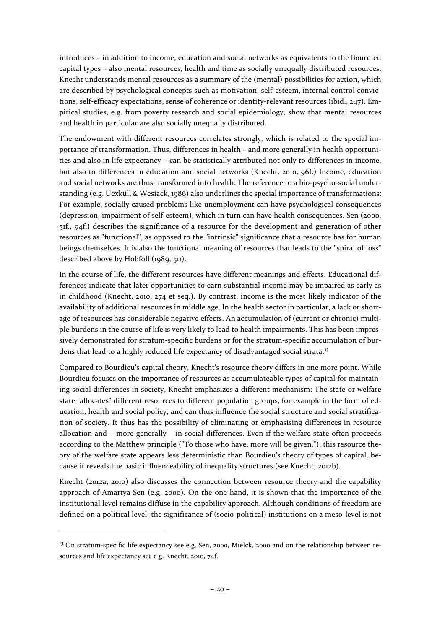introduces – in addition to income, education and social networks as equivalents to the Bourdieu capital types – also mental resources, health and time as socially unequally distributed resources. Knecht understands mental resources as a summary of the (mental) possibilities for action, which are described by psychological concepts such as motivation, self-esteem, internal control convictions, self-efficacy expectations, sense of coherence or identity-relevant resources (ibid., 247). Empirical studies, e.g. from poverty research and social epidemiology, show that mental resources and health in particular are also socially unequally distributed.

The endowment with different resources correlates strongly, which is related to the special importance of transformation. Thus, differences in health – and more generally in health opportunities and also in life expectancy – can be statistically attributed not only to differences in income, but also to differences in education and social networks (Knecht, 2010, 96f.) Income, education and social networks are thus transformed into health. The reference to a bio-psycho-social understanding (e.g. Uexküll & Wesiack, 1986) also underlines the special importance of transformations: For example, socially caused problems like unemployment can have psychological consequences (depression, impairment of self-esteem), which in turn can have health consequences. Sen (2000, 51f., 94f.) describes the significance of a resource for the development and generation of other resources as "functional", as opposed to the "intrinsic" significance that a resource has for human beings themselves. It is also the functional meaning of resources that leads to the "spiral of loss" described above by Hobfoll (1989, 511).

In the course of life, the different resources have different meanings and effects. Educational differences indicate that later opportunities to earn substantial income may be impaired as early as in childhood (Knecht, 2010, 274 et seq.). By contrast, income is the most likely indicator of the availability of additional resources in middle age. In the health sector in particular, a lack or shortage of resources has considerable negative effects. An accumulation of (current or chronic) multiple burdens in the course of life is very likely to lead to health impairments. This has been impressively demonstrated for stratum-specific burdens or for the stratum-specific accumulation of bur-dens that lead to a highly reduced life expectancy of disadvantaged social strata.<sup>[13](#page-19-0)</sup>

Compared to Bourdieu's capital theory, Knecht's resource theory differs in one more point. While Bourdieu focuses on the importance of resources as accumulateable types of capital for maintaining social differences in society, Knecht emphasizes a different mechanism: The state or welfare state "allocates" different resources to different population groups, for example in the form of education, health and social policy, and can thus influence the social structure and social stratification of society. It thus has the possibility of eliminating or emphasising differences in resource allocation and – more generally – in social differences. Even if the welfare state often proceeds according to the Matthew principle ("To those who have, more will be given."), this resource theory of the welfare state appears less deterministic than Bourdieu's theory of types of capital, because it reveals the basic influenceability of inequality structures (see Knecht, 2012b).

Knecht (2012a; 2010) also discusses the connection between resource theory and the capability approach of Amartya Sen (e.g. 2000). On the one hand, it is shown that the importance of the institutional level remains diffuse in the capability approach. Although conditions of freedom are defined on a political level, the significance of (socio-political) institutions on a meso-level is not

<span id="page-19-0"></span> $13$  On stratum-specific life expectancy see e.g. Sen, 2000, Mielck, 2000 and on the relationship between resources and life expectancy see e.g. Knecht, 2010, 74f.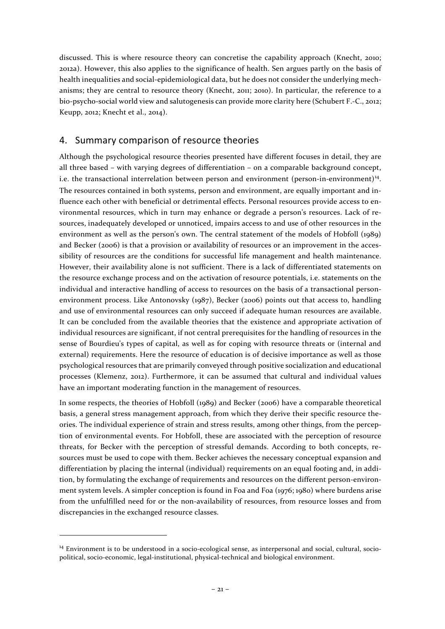discussed. This is where resource theory can concretise the capability approach (Knecht, 2010; 2012a). However, this also applies to the significance of health. Sen argues partly on the basis of health inequalities and social-epidemiological data, but he does not consider the underlying mechanisms; they are central to resource theory (Knecht, 2011; 2010). In particular, the reference to a bio-psycho-social world view and salutogenesis can provide more clarity here (Schubert F.-C., 2012; Keupp, 2012; Knecht et al., 2014).

# <span id="page-20-0"></span>4. Summary comparison of resource theories

Although the psychological resource theories presented have different focuses in detail, they are all three based – with varying degrees of differentiation – on a comparable background concept, i.e. the transactional interrelation between person and environment (person-in-environment)<sup>14</sup>. The resources contained in both systems, person and environment, are equally important and influence each other with beneficial or detrimental effects. Personal resources provide access to environmental resources, which in turn may enhance or degrade a person's resources. Lack of resources, inadequately developed or unnoticed, impairs access to and use of other resources in the environment as well as the person's own. The central statement of the models of Hobfoll (1989) and Becker (2006) is that a provision or availability of resources or an improvement in the accessibility of resources are the conditions for successful life management and health maintenance. However, their availability alone is not sufficient. There is a lack of differentiated statements on the resource exchange process and on the activation of resource potentials, i.e. statements on the individual and interactive handling of access to resources on the basis of a transactional personenvironment process. Like Antonovsky (1987), Becker (2006) points out that access to, handling and use of environmental resources can only succeed if adequate human resources are available. It can be concluded from the available theories that the existence and appropriate activation of individual resources are significant, if not central prerequisites for the handling of resources in the sense of Bourdieu's types of capital, as well as for coping with resource threats or (internal and external) requirements. Here the resource of education is of decisive importance as well as those psychological resources that are primarily conveyed through positive socialization and educational processes (Klemenz, 2012). Furthermore, it can be assumed that cultural and individual values have an important moderating function in the management of resources.

In some respects, the theories of Hobfoll (1989) and Becker (2006) have a comparable theoretical basis, a general stress management approach, from which they derive their specific resource theories. The individual experience of strain and stress results, among other things, from the perception of environmental events. For Hobfoll, these are associated with the perception of resource threats, for Becker with the perception of stressful demands. According to both concepts, resources must be used to cope with them. Becker achieves the necessary conceptual expansion and differentiation by placing the internal (individual) requirements on an equal footing and, in addition, by formulating the exchange of requirements and resources on the different person-environment system levels. A simpler conception is found in Foa and Foa (1976; 1980) where burdens arise from the unfulfilled need for or the non-availability of resources, from resource losses and from discrepancies in the exchanged resource classes.

<span id="page-20-1"></span><sup>&</sup>lt;sup>14</sup> Environment is to be understood in a socio-ecological sense, as interpersonal and social, cultural, sociopolitical, socio-economic, legal-institutional, physical-technical and biological environment.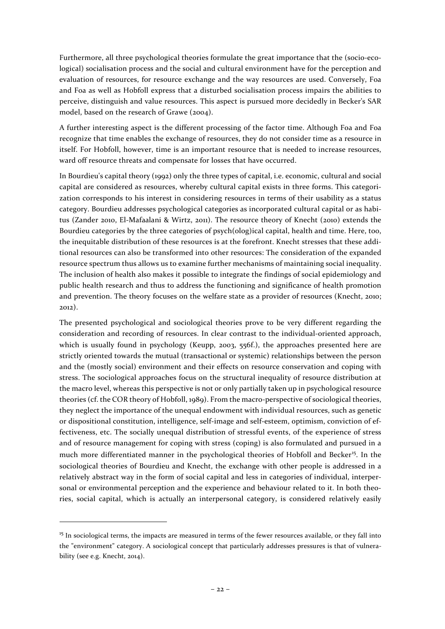Furthermore, all three psychological theories formulate the great importance that the (socio-ecological) socialisation process and the social and cultural environment have for the perception and evaluation of resources, for resource exchange and the way resources are used. Conversely, Foa and Foa as well as Hobfoll express that a disturbed socialisation process impairs the abilities to perceive, distinguish and value resources. This aspect is pursued more decidedly in Becker's SAR model, based on the research of Grawe (2004).

A further interesting aspect is the different processing of the factor time. Although Foa and Foa recognize that time enables the exchange of resources, they do not consider time as a resource in itself. For Hobfoll, however, time is an important resource that is needed to increase resources, ward off resource threats and compensate for losses that have occurred.

In Bourdieu's capital theory (1992) only the three types of capital, i.e. economic, cultural and social capital are considered as resources, whereby cultural capital exists in three forms. This categorization corresponds to his interest in considering resources in terms of their usability as a status category. Bourdieu addresses psychological categories as incorporated cultural capital or as habitus (Zander 2010, El-Mafaalani & Wirtz, 2011). The resource theory of Knecht (2010) extends the Bourdieu categories by the three categories of psych(olog)ical capital, health and time. Here, too, the inequitable distribution of these resources is at the forefront. Knecht stresses that these additional resources can also be transformed into other resources: The consideration of the expanded resource spectrum thus allows us to examine further mechanisms of maintaining social inequality. The inclusion of health also makes it possible to integrate the findings of social epidemiology and public health research and thus to address the functioning and significance of health promotion and prevention. The theory focuses on the welfare state as a provider of resources (Knecht, 2010; 2012).

The presented psychological and sociological theories prove to be very different regarding the consideration and recording of resources. In clear contrast to the individual-oriented approach, which is usually found in psychology (Keupp, 2003, 556f.), the approaches presented here are strictly oriented towards the mutual (transactional or systemic) relationships between the person and the (mostly social) environment and their effects on resource conservation and coping with stress. The sociological approaches focus on the structural inequality of resource distribution at the macro level, whereas this perspective is not or only partially taken up in psychological resource theories (cf. the COR theory of Hobfoll, 1989). From the macro-perspective of sociological theories, they neglect the importance of the unequal endowment with individual resources, such as genetic or dispositional constitution, intelligence, self-image and self-esteem, optimism, conviction of effectiveness, etc. The socially unequal distribution of stressful events, of the experience of stress and of resource management for coping with stress (coping) is also formulated and pursued in a much more differentiated manner in the psychological theories of Hobfoll and Becker<sup>[15](#page-21-0)</sup>. In the sociological theories of Bourdieu and Knecht, the exchange with other people is addressed in a relatively abstract way in the form of social capital and less in categories of individual, interpersonal or environmental perception and the experience and behaviour related to it. In both theories, social capital, which is actually an interpersonal category, is considered relatively easily

<span id="page-21-0"></span><sup>&</sup>lt;sup>15</sup> In sociological terms, the impacts are measured in terms of the fewer resources available, or they fall into the "environment" category. A sociological concept that particularly addresses pressures is that of vulnerability (see e.g. Knecht, 2014).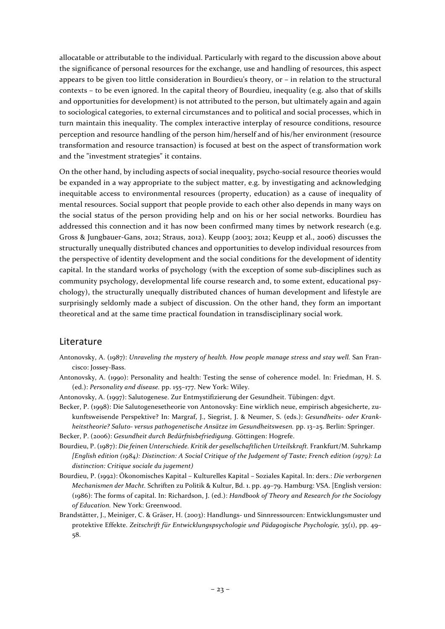allocatable or attributable to the individual. Particularly with regard to the discussion above about the significance of personal resources for the exchange, use and handling of resources, this aspect appears to be given too little consideration in Bourdieu's theory, or – in relation to the structural contexts – to be even ignored. In the capital theory of Bourdieu, inequality (e.g. also that of skills and opportunities for development) is not attributed to the person, but ultimately again and again to sociological categories, to external circumstances and to political and social processes, which in turn maintain this inequality. The complex interactive interplay of resource conditions, resource perception and resource handling of the person him/herself and of his/her environment (resource transformation and resource transaction) is focused at best on the aspect of transformation work and the "investment strategies" it contains.

On the other hand, by including aspects of social inequality, psycho-social resource theories would be expanded in a way appropriate to the subject matter, e.g. by investigating and acknowledging inequitable access to environmental resources (property, education) as a cause of inequality of mental resources. Social support that people provide to each other also depends in many ways on the social status of the person providing help and on his or her social networks. Bourdieu has addressed this connection and it has now been confirmed many times by network research (e.g. Gross & Jungbauer-Gans, 2012; Straus, 2012). Keupp (2003; 2012; Keupp et al., 2006) discusses the structurally unequally distributed chances and opportunities to develop individual resources from the perspective of identity development and the social conditions for the development of identity capital. In the standard works of psychology (with the exception of some sub-disciplines such as community psychology, developmental life course research and, to some extent, educational psychology), the structurally unequally distributed chances of human development and lifestyle are surprisingly seldomly made a subject of discussion. On the other hand, they form an important theoretical and at the same time practical foundation in transdisciplinary social work.

# <span id="page-22-0"></span>Literature

- Antonovsky, A. (1987): *Unraveling the mystery of health. How people manage stress and stay well.* San Francisco: Jossey-Bass.
- Antonovsky, A. (1990): Personality and health: Testing the sense of coherence model. In: Friedman, H. S. (ed.): *Personality and disease.* pp. 155–177. New York: Wiley.
- Antonovsky, A. (1997): Salutogenese. Zur Entmystifizierung der Gesundheit. Tübingen: dgvt.
- Becker, P. (1998): Die Salutogenesetheorie von Antonovsky: Eine wirklich neue, empirisch abgesicherte, zukunftsweisende Perspektive? In: Margraf, J., Siegrist, J. & Neumer, S. (eds.): *Gesundheits- oder Krankheitstheorie? Saluto- versus pathogenetische Ansätze im Gesundheitswesen.* pp. 13–25. Berlin: Springer.

Becker, P. (2006): *Gesundheit durch Bedürfnisbefriedigung.* Göttingen: Hogrefe.

- Bourdieu, P. (1987): *Die feinen Unterschiede. Kritik der gesellschaftlichen Urteilskraft.* Frankfurt/M. Suhrkamp *[English edition (1984): Distinction: A Social Critique of the Judgement of Taste; French edition (1979): La distinction: Critique sociale du jugement)*
- Bourdieu, P. (1992): Ökonomisches Kapital Kulturelles Kapital Soziales Kapital. In: ders.: *Die verborgenen Mechanismen der Macht.* Schriften zu Politik & Kultur, Bd. 1. pp. 49–79. Hamburg: VSA. [English version: (1986): The forms of capital. In: Richardson, J. (ed.): *Handbook of Theory and Research for the Sociology of Education.* New York: Greenwood.
- Brandstätter, J., Meiniger, C. & Gräser, H. (2003): Handlungs- und Sinnressourcen: Entwicklungsmuster und protektive Effekte. *Zeitschrift für Entwicklungspsychologie und Pädagogische Psychologie,* 35(1), pp. 49– 58.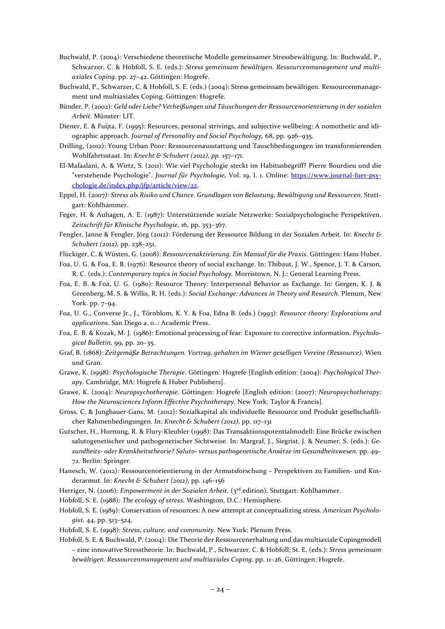- Buchwald, P. (2004): Verschiedene theoretische Modelle gemeinsamer Stressbewältigung. In: Buchwald, P., Schwarzer, C. & Hobfoll, S. E. (eds.): *Stress gemeinsam bewältigen. Ressourcenmanagement und multiaxiales Coping.* pp. 27–42. Göttingen: Hogrefe.
- Buchwald, P., Schwarzer, C. & Hobfoll, S. E. (eds.) (2004): Stress gemeinsam bewältigen. Ressourcenmanagement und multiaxiales Coping. Göttingen: Hogrefe.
- Bünder, P. (2002): *Geld oder Liebe? Verheißungen und Täuschungen der Ressourcenorientierung in der sozialen Arbeit.* Münster: LIT.
- Diener, E. & Fuijta, F. (1995): Resources, personal strivings, and subjective wellbeing: A nomothetic and idiographic approach. *Journal of Personality and Social Psychology,* 68, pp. 926–935.
- Drilling, (2012): Young Urban Poor: Ressourcenausstattung und Tauschbedingungen im transformierenden Wohlfahrtsstaat. In: *Knecht & Schubert (2012), pp.* 157–171.
- El-Mafaalani, A. & Wirtz, S. (2011): Wie viel Psychologie steckt im Habitusbegriff? Pierre Bourdieu und die "verstehende Psychologie". *Journal für Psychologie,* Vol. 19, I. 1. Online: [https://www.journal-fuer-psy](https://www.journal-fuer-psychologie.de/index.php/jfp/article/view/22)[chologie.de/index.php/jfp/article/view/22.](https://www.journal-fuer-psychologie.de/index.php/jfp/article/view/22)
- Eppel, H. (2007): *Stress als Risiko und Chance. Grundlagen von Belastung, Bewältigung und Ressourcen.* Stuttgart: Kohlhammer.
- Feger, H. & Auhagen, A. E. (1987): Unterstützende soziale Netzwerke: Sozialpsychologische Perspektiven. *Zeitschrift für Klinische Psychologie,* 16, pp. 353–367.
- Fengler, Janne & Fengler, Jörg (2012): Förderung der Ressource Bildung in der Sozialen Arbeit. In: *Knecht & Schubert (2012),* pp. 238–251.
- Flückiger, C. & Wüsten, G. (2008): *Ressourcenaktivierung. Ein Manual für die Praxis.* Göttingen: Hans Huber.
- Foa, U. G. & Foa, E. B. (1976): Resource theory of social exchange. In: Thibaut, J. W., Spence, J. T. & Carson, R. C. (eds.): *Contemporary topics in Social Psychology.* Morristown, N. J.: General Learning Press.
- Foa, E. B. & Foa, U. G. (1980): Resource Theory: Interpersonal Behavior as Exchange. In: Gergen, K. J. & Greenberg, M. S. & Willis, R. H. (eds.): *Social Exchange: Advances in Theory and Research.* Plenum, New York. pp. 7–94.
- Foa, U. G., Converse Jr., J., Törnblom, K. Y. & Foa, Edna B. (eds.) (1993): *Resource theory: Explorations and applications.* San Diego a. o..: Academic Press.
- Foa, E. B. & Kozak, M. J. (1986): Emotional processing of fear: Exposure to corrective information. *Psychological Bulletin,* 99, pp. 20–35.
- Graf, B. (1868): *Zeitgemäße Betrachtungen. Vortrag, gehalten im Wiener geselligen Vereine (Ressource).* Wien und Gran.
- Grawe, K. (1998): *Psychologische Therapie.* Göttingen: Hogrefe [English edition: (2004): *Psychological Therapy.* Cambridge, MA: Hogrefe & Huber Publishers].
- Grawe, K. (2004): *Neuropsychotherapie.* Göttingen: Hogrefe [English edition: (2007): *Neuropsychotherapy: How the Neurosciences Inform Effective Psychotherapy.* New York: Taylor & Francis].
- Gross, C. & Jungbauer-Gans, M. (2012): Sozialkapital als individuelle Ressource und Produkt gesellschaftlicher Rahmenbedingungen. In: *Knecht & Schubert (2012),* pp. 117–131
- Gutscher, H., Hornung, R. & Flury-Kleubler (1998): Das Transaktionspotentialmodell: Eine Brücke zwischen salutogenetischer und pathogenetischer Sichtweise. In: Margraf, J., Siegrist, J. & Neumer, S. (eds.): *Gesundheits- oder Krankheitstheorie? Saluto- versus pathogenetische Ansätze im Gesundheitswesen.* pp. 49– 72. Berlin: Springer.
- Hanesch, W. (2012): Ressourcenorientierung in der Armutsforschung Perspektiven zu Familien- und Kinderarmut. In: *Knecht & Schubert (2012),* pp. 146–156
- Herriger, N. (2006): *Empowerment in der Sozialen Arbeit.* (3rd edition). Stuttgart: Kohlhammer.
- Hobfoll, S. E. (1988): *The ecology of stress.* Washington, D.C.: Hemisphere.
- Hobfoll, S. E. (1989): Conservation of resources: A new attempt at conceptualizing stress. *American Psychologist,* 44, pp. 513–524.
- Hobfoll, S. E. (1998): *Stress, culture, and community.* New York: Plenum Press.
- Hobfoll, S. E. & Buchwald, P. (2004): Die Theorie der Ressourcenerhaltung und das multiaxiale Copingmodell – eine innovative Stresstheorie. In: Buchwald, P., Schwarzer, C. & Hobfoll, St. E. (eds.): *Stress gemeinsam bewältigen. Ressourcenmanagement und multiaxiales Coping.* pp. 11–26. Göttingen: Hogrefe.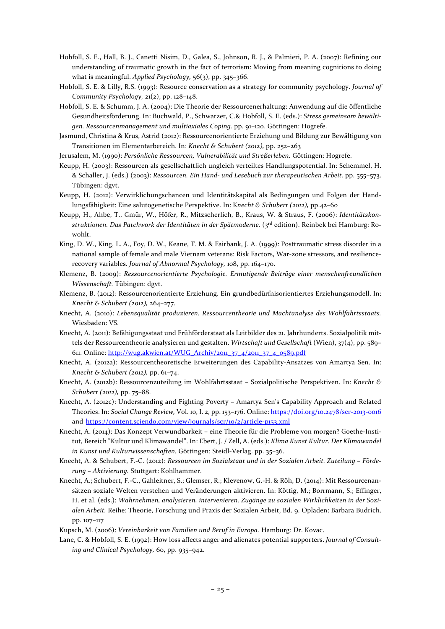- Hobfoll, S. E., Hall, B. J., Canetti Nisim, D., Galea, S., Johnson, R. J., & Palmieri, P. A. (2007): Refining our understanding of traumatic growth in the fact of terrorism: Moving from meaning cognitions to doing what is meaningful. *Applied Psychology,* 56(3), pp. 345–366.
- Hobfoll, S. E. & Lilly, R.S. (1993): Resource conservation as a strategy for community psychology. *Journal of Community Psychology,* 21(2), pp. 128–148.
- Hobfoll, S. E. & Schumm, J. A. (2004): Die Theorie der Ressourcenerhaltung: Anwendung auf die öffentliche Gesundheitsförderung. In: Buchwald, P., Schwarzer, C.& Hobfoll, S. E. (eds.): *Stress gemeinsam bewältigen. Ressourcenmanagement und multiaxiales Coping.* pp. 91–120. Göttingen: Hogrefe.
- Jasmund, Christina & Krus, Astrid (2012): Ressourcenorientierte Erziehung und Bildung zur Bewältigung von Transitionen im Elementarbereich. In: *Knecht & Schubert (2012),* pp. 252–263
- Jerusalem, M. (1990): *Persönliche Ressourcen, Vulnerabilität und Streßerleben.* Göttingen: Hogrefe.
- Keupp, H. (2003): Ressourcen als gesellschaftlich ungleich verteiltes Handlungspotential. In: Schemmel, H. & Schaller, J. (eds.) (2003): *Ressourcen. Ein Hand- und Lesebuch zur therapeutischen Arbeit.* pp. 555–573. Tübingen: dgvt.
- Keupp, H. (2012): Verwirklichungschancen und Identitätskapital als Bedingungen und Folgen der Handlungsfähigkeit: Eine salutogenetische Perspektive. In: K*necht & Schubert (2012),* pp.42–60
- Keupp, H., Ahbe, T., Gmür, W., Höfer, R., Mitzscherlich, B., Kraus, W. & Straus, F. (2006): *Identitätskonstruktionen. Das Patchwork der Identitäten in der Spätmoderne.* (3rd edition). Reinbek bei Hamburg: Rowohlt.
- King, D. W., King, L. A., Foy, D. W., Keane, T. M. & Fairbank, J. A. (1999): Posttraumatic stress disorder in a national sample of female and male Vietnam veterans: Risk Factors, War-zone stressors, and resiliencerecovery variables. *Journal of Abnormal Psychology,* 108, pp. 164–170.
- Klemenz, B. (2009): *Ressourcenorientierte Psychologie. Ermutigende Beiträge einer menschenfreundlichen Wissenschaft.* Tübingen: dgvt.
- Klemenz, B. (2012): Ressourcenorientierte Erziehung. Ein grundbedürfnisorientiertes Erziehungsmodell. In: *Knecht & Schubert (2012),* 264–277.
- Knecht, A. (2010): *Lebensqualität produzieren. Ressourcentheorie und Machtanalyse des Wohlfahrtsstaats.* Wiesbaden: VS.
- Knecht, A. (2011): Befähigungsstaat und Frühförderstaat als Leitbilder des 21. Jahrhunderts. Sozialpolitik mittels der Ressourcentheorie analysieren und gestalten. *Wirtschaft und Gesellschaft* (Wien), 37(4), pp. 589– 611. Online[: http://wug.akwien.at/WUG\\_Archiv/2011\\_37\\_4/2011\\_37\\_4\\_0589.pdf](http://wug.akwien.at/WUG_Archiv/2011_37_4/2011_37_4_0589.pdf)
- Knecht, A. (2012a): Ressourcentheoretische Erweiterungen des Capability-Ansatzes von Amartya Sen. In: *Knecht & Schubert (2012),* pp. 61–74.
- Knecht, A. (2012b): Ressourcenzuteilung im Wohlfahrtsstaat Sozialpolitische Perspektiven. In: *Knecht & Schubert (2012),* pp. 75–88.
- Knecht, A. (2012c): Understanding and Fighting Poverty Amartya Sen's Capability Approach and Related Theories. In: *Social Change Review,* Vol. 10, I. 2, pp. 153–176. Online: <https://doi.org/10.2478/scr-2013-0016> and <https://content.sciendo.com/view/journals/scr/10/2/article-p153.xml>
- Knecht, A. (2014): Das Konzept Verwundbarkeit eine Theorie für die Probleme von morgen? Goethe-Institut, Bereich "Kultur und Klimawandel". In: Ebert, J. / Zell, A. (eds.): *Klima Kunst Kultur. Der Klimawandel in Kunst und Kulturwissenschaften.* Göttingen: Steidl-Verlag. pp. 35–36.
- Knecht, A. & Schubert, F.-C. (2012): *Ressourcen im Sozialstaat und in der Sozialen Arbeit. Zuteilung – Förderung – Aktivierung.* Stuttgart: Kohlhammer.
- Knecht, A.; Schubert, F.-C., Gahleitner, S.; Glemser, R.; Klevenow, G.-H. & Röh, D. (2014): Mit Ressourcenansätzen soziale Welten verstehen und Veränderungen aktivieren. In: Köttig, M.; Borrmann, S.; Effinger, H. et al. (eds.): *Wahrnehmen, analysieren, intervenieren. Zugänge zu sozialen Wirklichkeiten in der Sozialen Arbeit.* Reihe: Theorie, Forschung und Praxis der Sozialen Arbeit, Bd. 9. Opladen: Barbara Budrich. pp. 107–117
- Kupsch, M. (2006): *Vereinbarkeit von Familien und Beruf in Europa.* Hamburg: Dr. Kovac.
- Lane, C. & Hobfoll, S. E. (1992): How loss affects anger and alienates potential supporters. *Journal of Consulting and Clinical Psychology,* 60, pp. 935–942.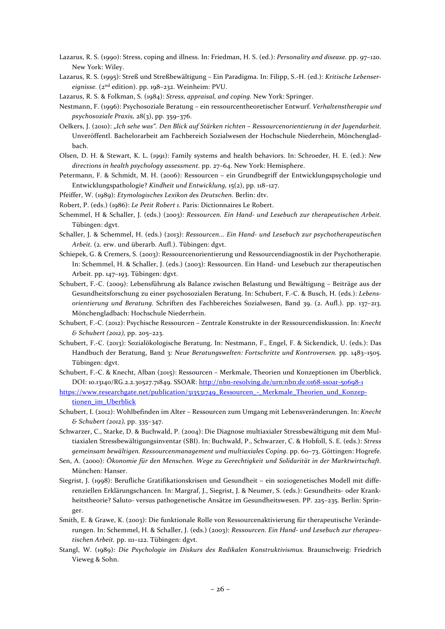- Lazarus, R. S. (1990): Stress, coping and illness. In: Friedman, H. S. (ed.): *Personality and disease.* pp. 97–120. New York: Wiley.
- Lazarus, R. S. (1995): Streß und Streßbewältigung Ein Paradigma. In: Filipp, S.-H. (ed.): *Kritische Lebensereignisse.* (2nd edition). pp. 198–232. Weinheim: PVU.
- Lazarus, R. S. & Folkman, S. (1984): *Stress, appraisal, and coping.* New York: Springer.
- Nestmann, F. (1996): Psychosoziale Beratung ein ressourcentheoretischer Entwurf. *Verhaltenstherapie und psychosoziale Praxis,* 28(3), pp. 359–376.
- Oelkers, J. (2010): *"Ich sehe was". Den Blick auf Stärken richten – Ressourcenorientierung in der Jugendarbeit.*  Unveröffentl. Bachelorarbeit am Fachbereich Sozialwesen der Hochschule Niederrhein, Mönchengladbach.
- Olsen, D. H. & Stewart, K. L. (1991): Family systems and health behaviors. In: Schroeder, H. E. (ed.): *New directions in health psychology assessment.* pp. 27–64. New York: Hemisphere.
- Petermann, F. & Schmidt, M. H. (2006): Ressourcen ein Grundbegriff der Entwicklungspsychologie und Entwicklungspathologie? *Kindheit und Entwicklung,* 15(2), pp. 118–127.
- Pfeiffer, W. (1989): *Etymologisches Lexikon des Deutschen.* Berlin: dtv.

Robert, P. (eds.) (1986): *Le Petit Robert 1.* Paris: Dictionnaires Le Robert.

- Schemmel, H & Schaller, J. (eds.) (2003): *Ressourcen. Ein Hand- und Lesebuch zur therapeutischen Arbeit.* Tübingen: dgvt.
- Schaller, J. & Schemmel, H. (eds.) (2013): *Ressourcen... Ein Hand- und Lesebuch zur psychotherapeutischen Arbeit.* (2. erw. und überarb. Aufl.). Tübingen: dgvt.
- Schiepek, G. & Cremers, S. (2003): Ressourcenorientierung und Ressourcendiagnostik in der Psychotherapie. In: Schemmel, H. & Schaller, J. (eds.) (2003): Ressourcen. Ein Hand- und Lesebuch zur therapeutischen Arbeit. pp. 147–193. Tübingen: dgvt.
- Schubert, F.-C. (2009): Lebensführung als Balance zwischen Belastung und Bewältigung Beiträge aus der Gesundheitsforschung zu einer psychosozialen Beratung. In: Schubert, F.-C. & Busch, H. (eds.): *Lebensorientierung und Beratung.* Schriften des Fachbereiches Sozialwesen, Band 39. (2. Aufl.). pp. 137–213. Mönchengladbach: Hochschule Niederrhein.
- Schubert, F.-C. (2012): Psychische Ressourcen Zentrale Konstrukte in der Ressourcendiskussion. In: *Knecht & Schubert (2012),* pp. 205–223.
- Schubert, F.-C. (2013): Sozialökologische Beratung. In: Nestmann, F., Engel, F. & Sickendick, U. (eds.): Das Handbuch der Beratung, Band 3: *Neue Beratungswelten: Fortschritte und Kontroversen.* pp. 1483–1505. Tübingen: dgvt.
- Schubert, F.-C. & Knecht, Alban (2015): Ressourcen Merkmale, Theorien und Konzeptionen im Überblick. DOI: 10.13140/RG.2.2.30527.71849. SSOAR:<http://nbn-resolving.de/urn:nbn:de:0168-ssoar-50698-1>
- [https://www.researchgate.net/publication/313531749\\_Ressourcen\\_-\\_Merkmale\\_Theorien\\_und\\_Konzep](https://www.researchgate.net/publication/313531749_Ressourcen_-_Merkmale_Theorien_und_Konzeptionen_im_Uberblick)[tionen\\_im\\_Uberblick](https://www.researchgate.net/publication/313531749_Ressourcen_-_Merkmale_Theorien_und_Konzeptionen_im_Uberblick)
- Schubert, I. (2012): Wohlbefinden im Alter Ressourcen zum Umgang mit Lebensveränderungen. In: *Knecht & Schubert (2012),* pp. 335–347.
- Schwarzer, C., Starke, D. & Buchwald, P. (2004): Die Diagnose multiaxialer Stressbewältigung mit dem Multiaxialen Stressbewältigungsinventar (SBI). In: Buchwald, P., Schwarzer, C. & Hobfoll, S. E. (eds.): *Stress gemeinsam bewältigen. Ressourcenmanagement und multiaxiales Coping.* pp. 60–73. Göttingen: Hogrefe.
- Sen, A. (2000): *Ökonomie für den Menschen. Wege zu Gerechtigkeit und Solidarität in der Marktwirtschaft.* München: Hanser.
- Siegrist, J. (1998): Berufliche Gratifikationskrisen und Gesundheit ein soziogenetisches Modell mit differenziellen Erklärungschancen. In: Margraf, J., Siegrist, J. & Neumer, S. (eds.): Gesundheits- oder Krankheitstheorie? Saluto- versus pathogenetische Ansätze im Gesundheitswesen. PP. 225–235. Berlin: Springer.
- Smith, E. & Grawe, K. (2003): Die funktionale Rolle von Ressourcenaktivierung für therapeutische Veränderungen. In: Schemmel, H. & Schaller, J. (eds.) (2003): *Ressourcen. Ein Hand- und Lesebuch zur therapeutischen Arbeit.* pp. 111–122. Tübingen: dgvt.
- Stangl, W. (1989): *Die Psychologie im Diskurs des Radikalen Konstruktivismus.* Braunschweig: Friedrich Vieweg & Sohn.